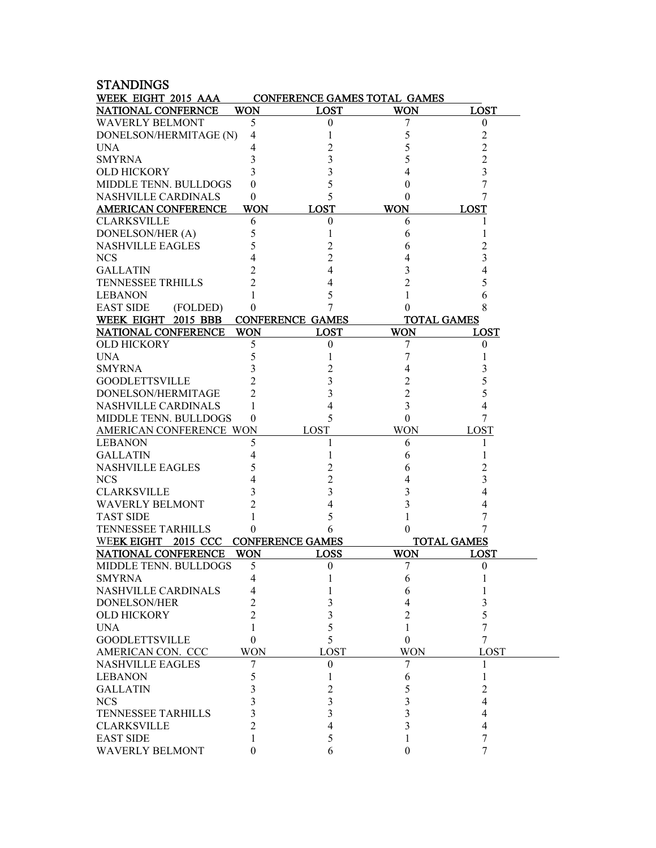| <b>STANDINGS</b>              |                |                              |            |                    |
|-------------------------------|----------------|------------------------------|------------|--------------------|
| WEEK EIGHT 2015 AAA           |                | CONFERENCE GAMES TOTAL GAMES |            |                    |
| <b>NATIONAL CONFERNCE</b>     | WON            | <b>LOST</b>                  | <b>WON</b> | <b>LOST</b>        |
| <b>WAVERLY BELMONT</b>        | 5              | $\theta$                     | 7          | 0                  |
| DONELSON/HERMITAGE (N)        | 4              | 1                            | 5          | 2                  |
| <b>UNA</b>                    | 4              |                              |            | $\overline{c}$     |
| <b>SMYRNA</b>                 | 3              | 3                            |            | 2                  |
| <b>OLD HICKORY</b>            | 3              | 3                            |            | 3                  |
| MIDDLE TENN. BULLDOGS         | 0              | 5                            |            | 7                  |
| <b>NASHVILLE CARDINALS</b>    | 0              | 5                            |            |                    |
| <b>AMERICAN CONFERENCE</b>    | <b>WON</b>     | <b>LOST</b>                  | <b>WON</b> | <b>LOST</b>        |
| <b>CLARKSVILLE</b>            | 6              | $\boldsymbol{0}$             | 6          |                    |
| DONELSON/HER (A)              | 5              |                              | 6          |                    |
| <b>NASHVILLE EAGLES</b>       | 5              | 2                            | 6          | 2                  |
| <b>NCS</b>                    | 4              | 2                            |            | 3                  |
| <b>GALLATIN</b>               | 2              | 4                            |            |                    |
| <b>TENNESSEE TRHILLS</b>      | 2              | 4                            | 2          |                    |
| <b>LEBANON</b>                |                | 5                            |            | 6                  |
| <b>EAST SIDE</b><br>(FOLDED)  | 0              | 7                            | $\theta$   |                    |
| WEEK EIGHT 2015 BBB           |                | <b>CONFERENCE GAMES</b>      |            | <b>TOTAL GAMES</b> |
| <b>NATIONAL CONFERENCE</b>    | <b>WON</b>     | <b>LOST</b>                  | <b>WON</b> | LOST               |
| <b>OLD HICKORY</b>            | 5              | $\theta$                     |            | $\theta$           |
| <b>UNA</b>                    | 5              |                              | 7<br>7     |                    |
| <b>SMYRNA</b>                 | 3              |                              |            |                    |
|                               | 2              | 2                            | 4          | 3                  |
| <b>GOODLETTSVILLE</b>         |                | 3                            | 2          | 5                  |
| DONELSON/HERMITAGE            | 2              | 3                            | 2          | 5                  |
| <b>NASHVILLE CARDINALS</b>    | 1              | 4                            | 3          | 4                  |
| MIDDLE TENN. BULLDOGS         | 0              | 5                            | 0          | 7                  |
| AMERICAN CONFERENCE WON       |                | LOST                         | <b>WON</b> | LOST               |
| <b>LEBANON</b>                | 5              | 1                            | 6          | 1                  |
| <b>GALLATIN</b>               | 4              |                              | 6          |                    |
| <b>NASHVILLE EAGLES</b>       | 5              | 2                            | 6          | 2                  |
| <b>NCS</b>                    | 4              | 2                            | 4          | 3                  |
| <b>CLARKSVILLE</b>            | 3              | 3                            | 3          | 4                  |
| <b>WAVERLY BELMONT</b>        | 2              | 4                            | 3          |                    |
| <b>TAST SIDE</b>              |                | 5                            |            |                    |
| <b>TENNESSEE TARHILLS</b>     | 0              | 6                            | $\theta$   |                    |
| <b>WEEK EIGHT</b><br>2015 CCC |                | <b>CONFERENCE GAMES</b>      |            | <b>TOTAL GAMES</b> |
| <b>NATIONAL CONFERENCE</b>    | WON            | <b>LOSS</b>                  | <b>WON</b> | <b>LOST</b>        |
| <b>MIDDLE TENN. BULLDOGS</b>  | 5              | $\boldsymbol{0}$             | 7          | $\boldsymbol{0}$   |
| <b>SMYRNA</b>                 | 4              | 1                            | 6          | 1                  |
| NASHVILLE CARDINALS           | 4              |                              | 6          |                    |
| <b>DONELSON/HER</b>           | 2              | 3                            | 4          | 3                  |
| <b>OLD HICKORY</b>            | $\overline{c}$ | 3                            | 2          | 5                  |
| <b>UNA</b>                    | 1              | 5                            | 1          | 7                  |
| <b>GOODLETTSVILLE</b>         | 0              | 5                            | $\theta$   | 7                  |
| AMERICAN CON. CCC             | <b>WON</b>     | LOST                         | <b>WON</b> | LOST               |
| <b>NASHVILLE EAGLES</b>       | 7              | $\mathbf{0}$                 | 7          | 1                  |
| <b>LEBANON</b>                | 5              | 1                            | 6          | 1                  |
| <b>GALLATIN</b>               | 3              | 2                            | 5          | 2                  |
| <b>NCS</b>                    | 3              | 3                            | 3          | 4                  |
| <b>TENNESSEE TARHILLS</b>     | 3              | 3                            | 3          | 4                  |
| <b>CLARKSVILLE</b>            | 2              | 4                            | 3          | 4                  |
| <b>EAST SIDE</b>              | 1              | 5                            |            | 7                  |
| <b>WAVERLY BELMONT</b>        | 0              | 6                            | 0          | 7                  |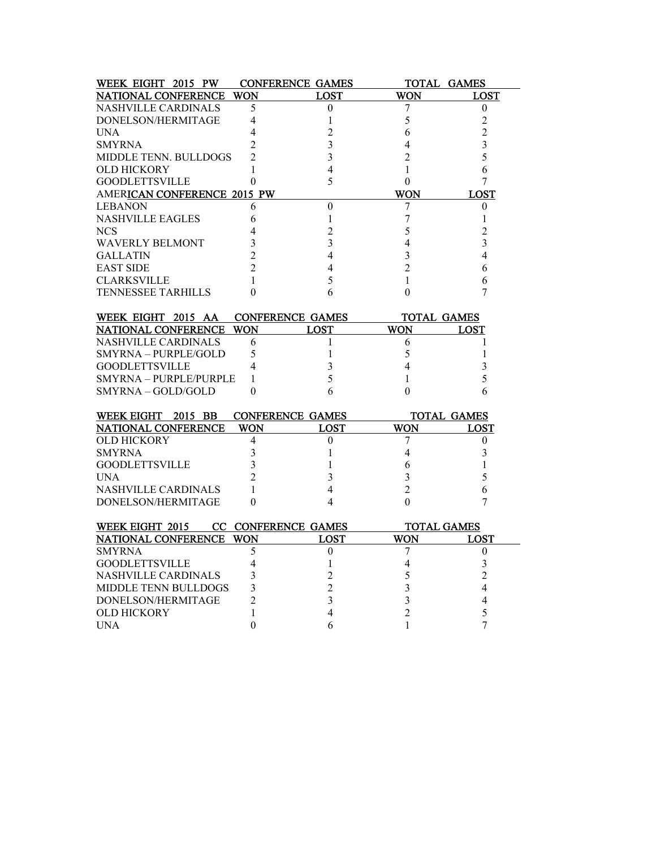| WEEK EIGHT 2015 PW           |                | <b>CONFERENCE GAMES</b> |                  | TOTAL GAMES        |
|------------------------------|----------------|-------------------------|------------------|--------------------|
| NATIONAL CONFERENCE          | <b>WON</b>     | <b>LOST</b>             | WON              | <b>LOST</b>        |
| <b>NASHVILLE CARDINALS</b>   | 5              | 0                       | 7                | $\theta$           |
| DONELSON/HERMITAGE           | 4              | 1                       | 5                | $\overline{c}$     |
| <b>UNA</b>                   | 4              | $\overline{c}$          | 6                | $\overline{2}$     |
| <b>SMYRNA</b>                | $\overline{c}$ | 3                       | 4                | 3                  |
| <b>MIDDLE TENN. BULLDOGS</b> | $\mathfrak{D}$ | 3                       | $\overline{c}$   | 5                  |
| <b>OLD HICKORY</b>           | 1              | 4                       | 1                | 6                  |
| <b>GOODLETTSVILLE</b>        | $\theta$       | 5                       | $\theta$         | 7                  |
| AMERICAN CONFERENCE 2015 PW  |                |                         | <b>WON</b>       | <b>LOST</b>        |
| <b>LEBANON</b>               | 6              | $\boldsymbol{0}$        | 7                | $\theta$           |
| <b>NASHVILLE EAGLES</b>      | 6              | 1                       | 7                | 1                  |
| <b>NCS</b>                   | 4              | $\overline{c}$          | 5                | $\overline{c}$     |
| <b>WAVERLY BELMONT</b>       | 3              | 3                       | 4                | 3                  |
| <b>GALLATIN</b>              | $\overline{c}$ | 4                       | 3                | $\overline{4}$     |
| <b>EAST SIDE</b>             | $\overline{c}$ | 4                       | $\overline{c}$   | 6                  |
| <b>CLARKSVILLE</b>           | 1              | 5                       | 1                | 6                  |
| <b>TENNESSEE TARHILLS</b>    | 0              | 6                       | $\boldsymbol{0}$ | 7                  |
|                              |                |                         |                  |                    |
| WEEK EIGHT 2015 AA           |                | <b>CONFERENCE GAMES</b> | TOTAL GAMES      |                    |
| <b>NATIONAL CONFERENCE</b>   | <b>WON</b>     | LOST                    | WON              | LOST               |
| NASHVILLE CARDINALS          | 6              | 1                       | 6                | 1                  |
| SMYRNA - PURPLE/GOLD         | 5              | 1                       | 5                | 1                  |
| <b>GOODLETTSVILLE</b>        | 4              | 3                       | 4                | 3                  |
| SMYRNA - PURPLE/PURPLE       | 1              | 5                       | 1                | 5                  |
| SMYRNA – GOLD/GOLD           | 0              | 6                       | $\theta$         | 6                  |
|                              |                |                         |                  |                    |
| WEEK EIGHT 2015 BB           |                | <b>CONFERENCE GAMES</b> |                  | TOTAL GAMES        |
| NATIONAL CONFERENCE          | WON            | <b>LOST</b>             | WON              | LOST               |
| <b>OLD HICKORY</b>           | 4              | 0                       | 7                | $\theta$           |
| <b>SMYRNA</b>                | 3              | 1                       | 4                | 3                  |
| <b>GOODLETTSVILLE</b>        | 3              | 1                       | 6                | 1                  |
| <b>UNA</b>                   | $\overline{c}$ | 3                       | 3                | 5                  |
| <b>NASHVILLE CARDINALS</b>   | 1              | 4                       | $\overline{2}$   | 6                  |
| DONELSON/HERMITAGE           | $\theta$       | 4                       | $\theta$         | 7                  |
| WEEK EIGHT 2015              |                | CC CONFERENCE GAMES     |                  | <b>TOTAL GAMES</b> |
| NATIONAL CONFERENCE          | <b>WON</b>     | <b>LOST</b>             | <b>WON</b>       | <b>LOST</b>        |
| <b>SMYRNA</b>                | 5              | 0                       | 7                | $\theta$           |
| <b>GOODLETTSVILLE</b>        | 4              | 1                       | 4                | 3                  |
| <b>NASHVILLE CARDINALS</b>   | 3              | $\overline{c}$          | 5                | $\overline{c}$     |
| MIDDLE TENN BULLDOGS         | 3              | $\overline{c}$          | 3                | $\overline{4}$     |
| DONELSON/HERMITAGE           | $\mathfrak{D}$ | 3                       | 3                | 4                  |
| OLD HICKORY                  | 1              | 4                       | 2                | 5                  |
| <b>UNA</b>                   | $\theta$       | 6                       | 1                | 7                  |
|                              |                |                         |                  |                    |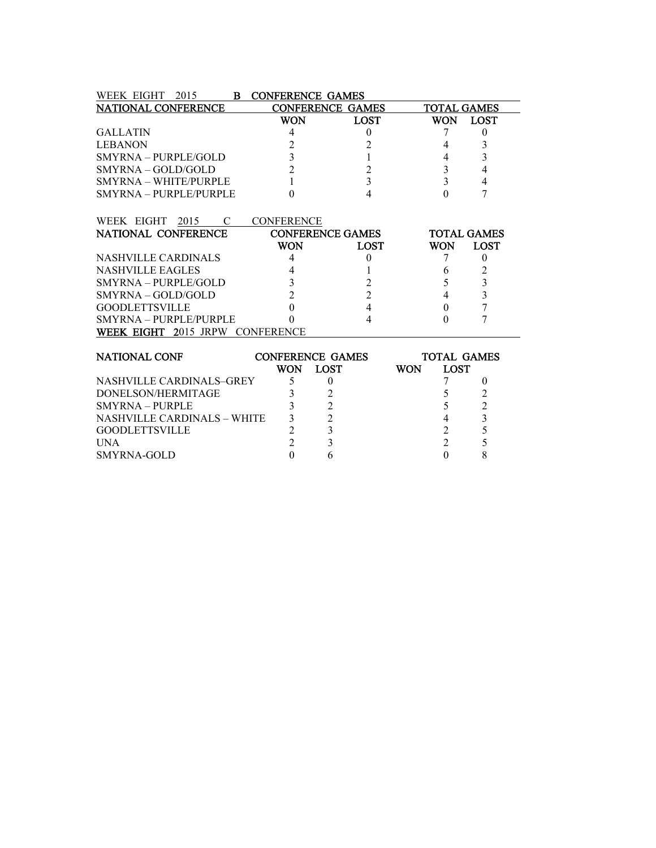| WEEK EIGHT<br>2015<br>в    | <b>CONFERENCE GAMES</b> |                         |                    |             |  |
|----------------------------|-------------------------|-------------------------|--------------------|-------------|--|
| <b>NATIONAL CONFERENCE</b> |                         | <b>CONFERENCE GAMES</b> | <b>TOTAL GAMES</b> |             |  |
|                            | WON                     | <b>LOST</b>             | WON                | <b>LOST</b> |  |
| <b>GALLATIN</b>            | 4                       |                         |                    |             |  |
| <b>LEBANON</b>             |                         |                         |                    |             |  |
| $SMYRNA - PURPLE/GOLD$     |                         |                         |                    |             |  |
| $SMYRNA - GOLD/GOLD$       |                         |                         |                    |             |  |
| SMYRNA – WHITE/PURPLE      |                         |                         |                    |             |  |
| SMYRNA – PURPLE/PURPLE     |                         |                         |                    |             |  |

| WEEK EIGHT 2015<br>$\overline{C}$        | <b>CONFERENCE</b>       |             |     |                    |
|------------------------------------------|-------------------------|-------------|-----|--------------------|
| NATIONAL CONFERENCE                      | <b>CONFERENCE GAMES</b> |             |     | <b>TOTAL GAMES</b> |
|                                          | WON                     | <b>LOST</b> | WON | LOST               |
| NASHVILLE CARDINALS                      |                         |             |     |                    |
| <b>NASHVILLE EAGLES</b>                  |                         |             |     |                    |
| SMYRNA – PURPLE/GOLD                     |                         |             |     |                    |
| $SMYRNA - GOLD/GOLD$                     |                         |             |     |                    |
| <b>GOODLETTSVILLE</b>                    |                         |             |     |                    |
| SMYRNA - PURPLE/PURPLE                   |                         |             |     |                    |
| <b>EIGHT</b><br>2015 JRPW<br><b>WEEK</b> |                         |             |     |                    |

| <b>NATIONAL CONF</b>        |     | <b>CONFERENCE GAMES</b> |     | <b>TOTAL GAMES</b> |  |  |  |
|-----------------------------|-----|-------------------------|-----|--------------------|--|--|--|
|                             | WON | LOST                    | WON | <b>LOST</b>        |  |  |  |
| NASHVILLE CARDINALS-GREY    |     |                         |     |                    |  |  |  |
| DONELSON/HERMITAGE          |     |                         |     |                    |  |  |  |
| $SMYRNA = PIIRPIE$          |     |                         |     |                    |  |  |  |
| NASHVILLE CARDINALS – WHITE |     |                         |     |                    |  |  |  |
| <b>GOODLETTSVILLE</b>       |     |                         |     |                    |  |  |  |
| <b>UNA</b>                  |     |                         |     |                    |  |  |  |
| SMYRNA-GOLD                 |     |                         |     |                    |  |  |  |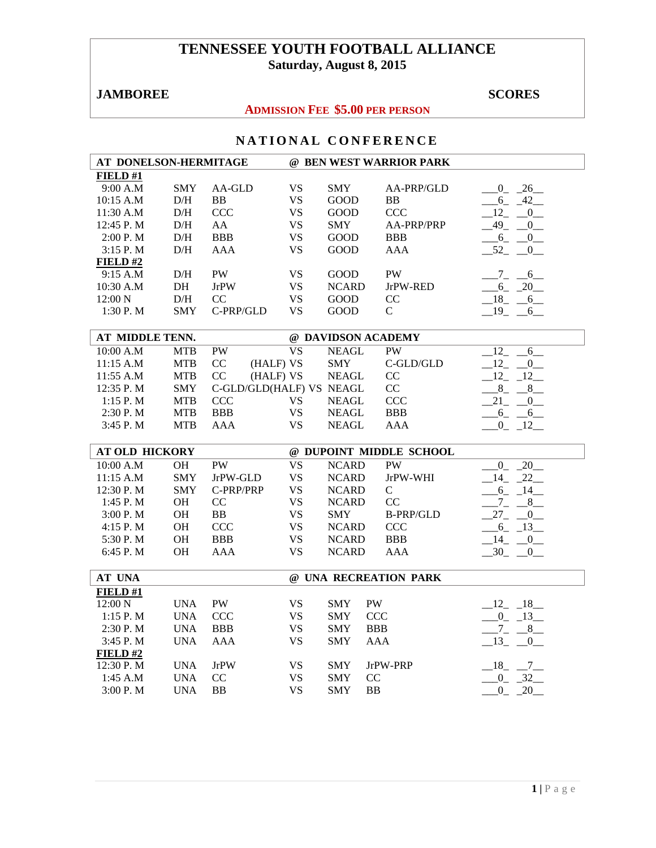# **TENNESSEE YOUTH FOOTBALL ALLIANCE Saturday, August 8, 2015**

## **JAMBOREE** SCORES SCORES

## **ADMISSION FEE \$5.00 PER PERSON**

| AT DONELSON-HERMITAGE |            |                          |                          |              | @ BEN WEST WARRIOR PARK |                           |
|-----------------------|------------|--------------------------|--------------------------|--------------|-------------------------|---------------------------|
| FIELD#1               |            |                          |                          |              |                         |                           |
| 9:00 A.M              | <b>SMY</b> | AA-GLD                   | <b>VS</b>                | <b>SMY</b>   | AA-PRP/GLD              | $0 - 26$                  |
| 10:15 A.M             | D/H        | <b>BB</b>                | <b>VS</b>                | <b>GOOD</b>  | <b>BB</b>               | $-6 - 42$                 |
| 11:30 A.M             | $\rm{D/H}$ | <b>CCC</b>               | <b>VS</b>                | <b>GOOD</b>  | <b>CCC</b>              | $-12$ $-0$                |
| 12:45 P.M             | D/H        | AA                       | <b>VS</b>                | <b>SMY</b>   | AA-PRP/PRP              | $-49$ $-0$                |
| 2:00 P. M             | D/H        | <b>BBB</b>               | <b>VS</b>                | GOOD         | <b>BBB</b>              | $-6 - 0$                  |
| $3:15$ P. M           | D/H        | AAA                      | <b>VS</b>                | <b>GOOD</b>  | <b>AAA</b>              | $-52$ $-0$                |
| FIELD#2               |            |                          |                          |              |                         |                           |
| 9:15 A.M              | D/H        | <b>PW</b>                | <b>VS</b>                | <b>GOOD</b>  | <b>PW</b>               | $-7 - -6$                 |
| 10:30 A.M             | DH         | <b>JrPW</b>              | <b>VS</b>                | <b>NCARD</b> | JrPW-RED                | $-6 - 20$                 |
| 12:00 N               | $\rm{D/H}$ | CC                       | <b>VS</b>                | <b>GOOD</b>  | $\rm CC$                | $-18$ $-6$                |
| 1:30 P. M             | <b>SMY</b> | C-PRP/GLD                | <b>VS</b>                | GOOD         | $\mathsf{C}$            | $-19 - 6$                 |
|                       |            |                          |                          |              |                         |                           |
| AT MIDDLE TENN.       |            |                          |                          |              | @ DAVIDSON ACADEMY      |                           |
| 10:00 A.M             | <b>MTB</b> | PW                       | $\overline{\mathbf{VS}}$ | <b>NEAGL</b> | <b>PW</b>               | $-12$<br>6                |
| 11:15 A.M             | <b>MTB</b> | CC<br>(HALF) VS          |                          | <b>SMY</b>   | $\mbox{C-GLD/GLD}$      | $-12$ $-$<br>$\mathbf{0}$ |
| 11:55 A.M             | <b>MTB</b> | CC<br>(HALF) VS          |                          | <b>NEAGL</b> | CC                      | $-12$ $-12$               |
| 12:35 P.M             | <b>SMY</b> | C-GLD/GLD(HALF) VS NEAGL |                          |              | CC                      | $8 - 8 - 8$               |
| 1:15 P.M              | <b>MTB</b> | <b>CCC</b>               | <b>VS</b>                | <b>NEAGL</b> | <b>CCC</b>              | $21 - 0$                  |
| 2:30 P.M              | <b>MTB</b> | <b>BBB</b>               | <b>VS</b>                | <b>NEAGL</b> | <b>BBB</b>              | $-6 - 6$                  |
| $3:45$ P. M           | <b>MTB</b> | <b>AAA</b>               | <b>VS</b>                | <b>NEAGL</b> | <b>AAA</b>              | $-0$ $-12$                |
|                       |            |                          |                          |              |                         |                           |
| <b>AT OLD HICKORY</b> |            |                          |                          |              | @ DUPOINT MIDDLE SCHOOL |                           |
| 10:00 A.M             | OH         | <b>PW</b>                | <b>VS</b>                | <b>NCARD</b> | <b>PW</b>               | $0 - 20$                  |
| 11:15 A.M             | <b>SMY</b> | JrPW-GLD                 | <b>VS</b>                | <b>NCARD</b> | JrPW-WHI                | $-14$ $-22$               |
| 12:30 P.M             | <b>SMY</b> | C-PRP/PRP                | <b>VS</b>                | <b>NCARD</b> | $\mathsf{C}$            | $-6 - 14$                 |
| $1:45$ P. M           | <b>OH</b>  | CC                       | <b>VS</b>                | <b>NCARD</b> | CC                      | $-7 - 8$                  |
| 3:00 P. M             | <b>OH</b>  | <b>BB</b>                | <b>VS</b>                | <b>SMY</b>   | <b>B-PRP/GLD</b>        | $-27 - 0$                 |
| $4:15$ P. M           | OH         | <b>CCC</b>               | <b>VS</b>                | <b>NCARD</b> | <b>CCC</b>              | $-6 - 13$                 |
| 5:30 P.M              | <b>OH</b>  | <b>BBB</b>               | <b>VS</b>                | <b>NCARD</b> | <b>BBB</b>              | $-14$ $-0$                |
| 6:45 P.M              | <b>OH</b>  | <b>AAA</b>               | <b>VS</b>                | <b>NCARD</b> | AAA                     | $-30$ $-0$                |
|                       |            |                          |                          |              |                         |                           |
| <b>AT UNA</b>         |            |                          |                          |              | @ UNA RECREATION PARK   |                           |
| FIELD #1              |            |                          |                          |              |                         |                           |
| 12:00 N               | <b>UNA</b> | PW                       | <b>VS</b>                | <b>SMY</b>   | <b>PW</b>               | $-12 - 18$                |
| 1:15 P.M              | <b>UNA</b> | <b>CCC</b>               | <b>VS</b>                | <b>SMY</b>   | <b>CCC</b>              | $-0$ $-13$                |
| 2:30 P.M              | <b>UNA</b> | <b>BBB</b>               | <b>VS</b>                | <b>SMY</b>   | <b>BBB</b>              | $-7 - 8$                  |
| 3:45 P.M              | <b>UNA</b> | AAA                      | <b>VS</b>                | <b>SMY</b>   | AAA                     | $-13$ $-0$                |
| FIELD#2               |            |                          |                          |              |                         |                           |
| 12:30 P.M             | <b>UNA</b> | <b>JrPW</b>              | <b>VS</b>                | <b>SMY</b>   | JrPW-PRP                | $-18$ $-7$                |
| 1:45 A.M              | <b>UNA</b> | CC                       | <b>VS</b>                | <b>SMY</b>   | CC                      | $-0$ $-32$                |
| 3:00P. M              | <b>UNA</b> | <b>BB</b>                | <b>VS</b>                | <b>SMY</b>   | <b>BB</b>               | 20<br>$\overline{0}$      |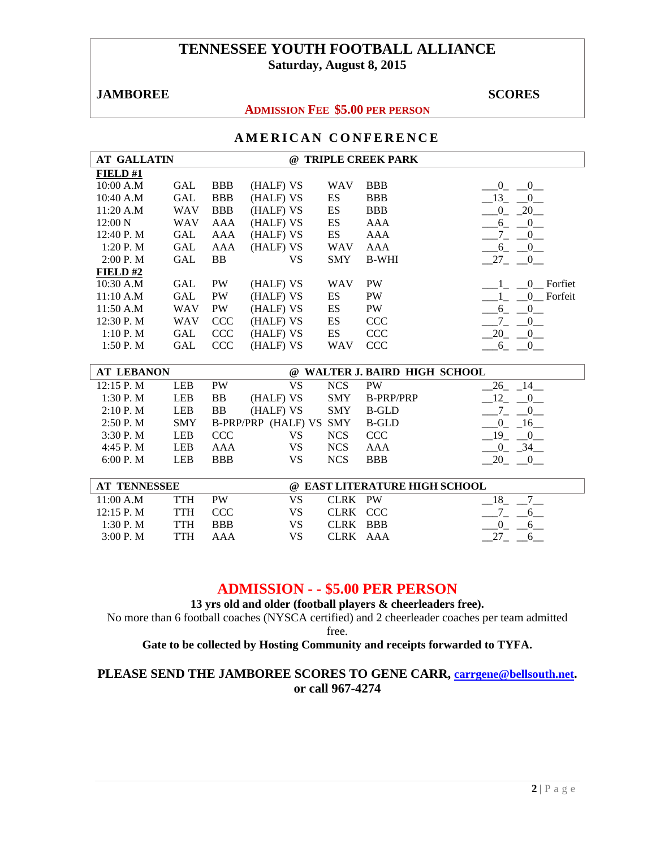## **TENNESSEE YOUTH FOOTBALL ALLIANCE Saturday, August 8, 2015**

## **JAMBOREE** SCORES

#### **ADMISSION FEE \$5.00 PER PERSON**

## **AMERICAN CONFERENCE**

| <b>AT GALLATIN</b> |            |                | $\omega$  |            | <b>TRIPLE CREEK PARK</b> |                                       |
|--------------------|------------|----------------|-----------|------------|--------------------------|---------------------------------------|
| FIELD#1            |            |                |           |            |                          |                                       |
| 10:00 A.M          | GAL        | <b>BBB</b>     | (HALF) VS | <b>WAV</b> | <b>BBB</b>               | $\overline{0}$<br>$\overline{0}$      |
| 10:40 A.M          | <b>GAL</b> | <b>BBB</b>     | (HALF) VS | ES         | <b>BBB</b>               | 13<br>$\overline{0}$                  |
| 11:20 A.M          | <b>WAV</b> | <b>BBB</b>     | (HALF) VS | ES         | <b>BBB</b>               | 20<br>$\overline{0}$                  |
| 12:00 N            | <b>WAV</b> | AAA            | (HALF) VS | ES         | AAA                      | $\begin{array}{c} 0 \end{array}$<br>6 |
| 12:40 P.M          | <b>GAL</b> | AAA            | (HALF) VS | ES         | AAA                      | $\overline{0}$                        |
| 1:20P M            | <b>GAL</b> | AAA            | (HALF) VS | <b>WAV</b> | AAA                      | $\overline{0}$<br>6                   |
| 2:00 P. M          | GAL        | B <sub>B</sub> | VS        | <b>SMY</b> | <b>B-WHI</b>             | 27 0                                  |
| FIELD# $2$         |            |                |           |            |                          |                                       |
| 10:30 A.M          | <b>GAL</b> | <b>PW</b>      | (HALF) VS | <b>WAV</b> | <b>PW</b>                | Forfiet<br>$\left($                   |
| 11:10 A.M          | GAL        | <b>PW</b>      | (HALF) VS | ES         | <b>PW</b>                | 0 Forfeit                             |
| 11:50 A.M          | <b>WAV</b> | <b>PW</b>      | (HALF) VS | ES         | <b>PW</b>                | $\overline{0}$<br>6                   |
| 12:30 P. M         | <b>WAV</b> | <b>CCC</b>     | (HALF) VS | ES         | <b>CCC</b>               | 7<br>$\Omega$                         |
| 1:10P. M           | GAL        | <b>CCC</b>     | (HALF) VS | ES         | <b>CCC</b>               | 20<br>$\overline{0}$                  |
| 1:50P. M           | GAL        | <b>CCC</b>     | (HALF) VS | <b>WAV</b> | <b>CCC</b>               | $\overline{0}$<br>6                   |

| <b>AT LEBANON</b> | @ WALTER J. BAIRD HIGH SCHOOL |            |                         |            |                  |         |  |
|-------------------|-------------------------------|------------|-------------------------|------------|------------------|---------|--|
| $12:15$ P. M      | <b>LEB</b>                    | <b>PW</b>  | VS                      | <b>NCS</b> | <b>PW</b>        |         |  |
| 1:30P. M          | <b>LEB</b>                    | BB         | (HALF) VS               | <b>SMY</b> | <b>B-PRP/PRP</b> |         |  |
| 2:10 P. M         | <b>LEB</b>                    | ΒB         | (HALF) VS               | <b>SMY</b> | <b>B-GLD</b>     |         |  |
| 2:50P. M          | <b>SMY</b>                    |            | B-PRP/PRP (HALF) VS SMY |            | B-GLD            | 16<br>0 |  |
| 3:30P. M          | LEB                           | <b>CCC</b> | VS                      | <b>NCS</b> | <b>CCC</b>       | 19      |  |
| 4:45 P.M          | LEB                           | AAA        | VS                      | <b>NCS</b> | AAA              |         |  |
| 6:00 P. M         | LEB                           | <b>BBB</b> | VS                      | NCS        | <b>BBB</b>       |         |  |

| <b>AT TENNESSEE</b> |      |            |     | @ EAST LITERATURE HIGH SCHOOL |  |  |  |  |
|---------------------|------|------------|-----|-------------------------------|--|--|--|--|
| 11:00 A.M           | TTH  | PW         |     | CLRK PW                       |  |  |  |  |
| 12:15 P. M          | TTH. | CCC.       | VS. | CLRK CCC                      |  |  |  |  |
| 1:30 P. M           | TTH  | <b>BBB</b> | VS  | CLRK BBB                      |  |  |  |  |
| 3:00 P. M           | TTH  | AAA        | VS  | CLRK AAA                      |  |  |  |  |

## **ADMISSION - - \$5.00 PER PERSON**

**13 yrs old and older (football players & cheerleaders free).** 

No more than 6 football coaches (NYSCA certified) and 2 cheerleader coaches per team admitted free.

## **Gate to be collected by Hosting Community and receipts forwarded to TYFA.**

## **PLEASE SEND THE JAMBOREE SCORES TO GENE CARR, carrgene@bellsouth.net. or call 967-4274**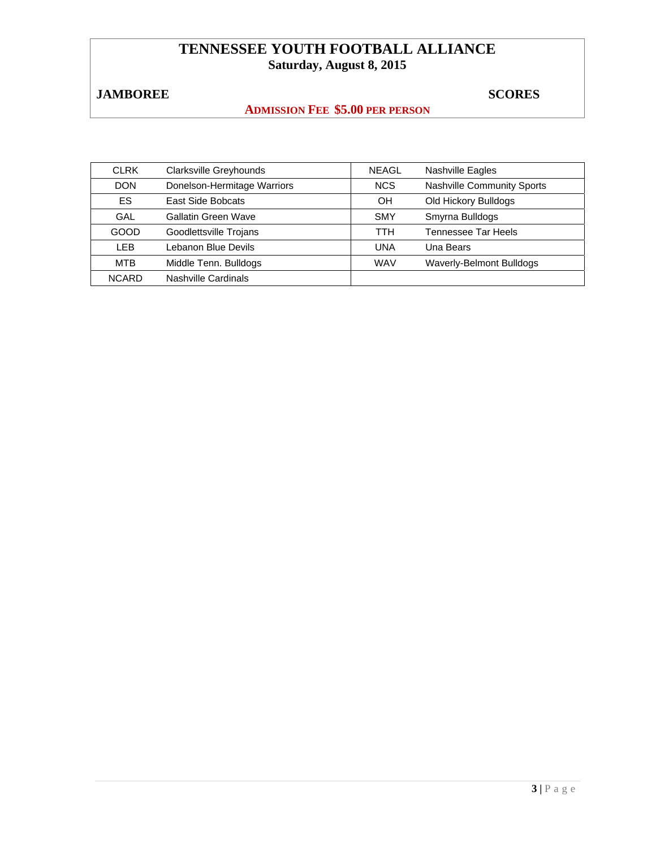# **TENNESSEE YOUTH FOOTBALL ALLIANCE Saturday, August 8, 2015**

# **JAMBOREE** SCORES

## **ADMISSION FEE \$5.00 PER PERSON**

| <b>CLRK</b>  | Clarksville Greyhounds      | <b>NEAGL</b> | <b>Nashville Eagles</b>           |
|--------------|-----------------------------|--------------|-----------------------------------|
| <b>DON</b>   | Donelson-Hermitage Warriors | <b>NCS</b>   | <b>Nashville Community Sports</b> |
| ES.          | East Side Bobcats           | <b>OH</b>    | Old Hickory Bulldogs              |
| GAL          | Gallatin Green Wave         | <b>SMY</b>   | Smyrna Bulldogs                   |
| GOOD         | Goodlettsville Trojans      | TTH          | Tennessee Tar Heels               |
| <b>LEB</b>   | Lebanon Blue Devils         | <b>UNA</b>   | Una Bears                         |
| <b>MTB</b>   | Middle Tenn. Bulldogs       | <b>WAV</b>   | Waverly-Belmont Bulldogs          |
| <b>NCARD</b> | Nashville Cardinals         |              |                                   |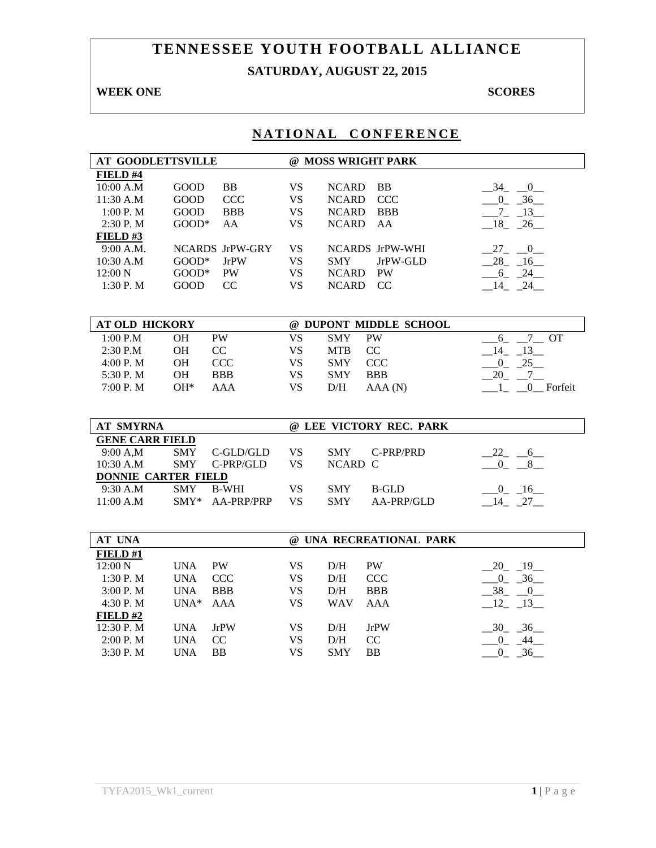# **TENNESSEE YOUTH FOOTBALL ALLIANCE SATURDAY, AUGUST 22, 2015**

## **WEEK ONE** SCORES

| <b>AT GOODLETTSVILLE</b>   |             |                 |                        | @ MOSS WRIGHT PARK            |                         |
|----------------------------|-------------|-----------------|------------------------|-------------------------------|-------------------------|
| FIELD #4                   |             |                 |                        |                               |                         |
| 10:00 A.M                  | GOOD        | BB              | <b>VS</b>              | <b>NCARD</b><br><b>BB</b>     | $-34$ $-0$              |
| 11:30 A.M                  | <b>GOOD</b> | <b>CCC</b>      | <b>VS</b>              | <b>NCARD</b><br><b>CCC</b>    | $-0$ $-36$              |
| 1:00 P.M                   | GOOD        | <b>BBB</b>      | <b>VS</b>              | <b>BBB</b><br><b>NCARD</b>    | $-7 - 13$               |
| 2:30 P.M                   | $GOOD*$     | AA              | <b>VS</b>              | <b>NCARD</b><br>AA            | $-18$ $-26$             |
| FIELD#3                    |             |                 |                        |                               |                         |
| 9:00 A.M.                  |             | NCARDS JrPW-GRY | <b>VS</b>              | NCARDS JrPW-WHI               | $27 - 0$                |
| 10:30 A.M                  | $GOOD^*$    | <b>JrPW</b>     | <b>VS</b>              | JrPW-GLD<br><b>SMY</b>        | $-28$ <sub>-16</sub>    |
| 12:00 N                    | $GOOD^*$    | PW              | <b>VS</b>              | <b>NCARD</b><br><b>PW</b>     | $-6 - 24$               |
| 1:30 P.M                   | <b>GOOD</b> | CC              | <b>VS</b>              | NCARD CC                      | $-14$ $-24$             |
|                            |             |                 |                        |                               |                         |
| <b>AT OLD HICKORY</b>      |             |                 |                        | @ DUPONT MIDDLE SCHOOL        |                         |
| 1:00 P.M                   | OH          | PW              | <b>VS</b>              | <b>PW</b><br><b>SMY</b>       | $6 - 7 - 0T$            |
| 2:30 P.M                   | <b>OH</b>   | CC              | <b>VS</b>              | <b>MTB</b><br>CC              | $-14$ $-13$             |
| 4:00 P.M                   | OH          | <b>CCC</b>      | <b>VS</b>              | SMY<br><b>CCC</b>             | $-0$ $-25$              |
| 5:30 P.M                   | <b>OH</b>   | <b>BBB</b>      | <b>VS</b>              | <b>SMY</b><br><b>BBB</b>      | $20 - 7$                |
| 7:00 P.M                   | $OH*$       | <b>AAA</b>      | <b>VS</b>              | D/H<br>AAA(N)                 | $1_{-}$ $0_{-}$ Forfeit |
|                            |             |                 |                        |                               |                         |
|                            |             |                 |                        |                               |                         |
| <b>AT SMYRNA</b>           |             |                 |                        | @ LEE VICTORY REC. PARK       |                         |
|                            |             |                 |                        |                               |                         |
| <b>GENE CARR FIELD</b>     |             |                 |                        |                               |                         |
| 9:00 A,M                   | <b>SMY</b>  | C-GLD/GLD       | <b>VS</b>              | <b>SMY</b><br>C-PRP/PRD       | $-22 - -6$              |
| 10:30 A.M                  | <b>SMY</b>  | C-PRP/GLD       | <b>VS</b>              | NCARD C                       | $0 - 8$                 |
| <b>DONNIE CARTER FIELD</b> |             |                 |                        |                               |                         |
| 9:30 A.M                   | SMY         | <b>B-WHI</b>    | <b>VS</b>              | SMY<br><b>B-GLD</b>           | $-0$ $-16$              |
| 11:00 A.M                  |             | SMY* AA-PRP/PRP | <b>VS</b>              | AA-PRP/GLD<br><b>SMY</b>      | $-14$ $-27$             |
|                            |             |                 |                        |                               |                         |
| AT UNA                     |             |                 |                        | @ UNA RECREATIONAL PARK       |                         |
| FIELD#1                    |             |                 |                        |                               |                         |
| 12:00 N                    | <b>UNA</b>  | PW              | <b>VS</b>              | D/H<br>PW                     | 20 19                   |
| 1:30 P.M                   | <b>UNA</b>  | <b>CCC</b>      | <b>VS</b>              | <b>CCC</b><br>D/H             | $-0$ $-36$              |
| 3:00 P.M                   | <b>UNA</b>  | <b>BBB</b>      | <b>VS</b>              | <b>BBB</b><br>D/H             | $-38$ $-0$              |
| 4:30 P.M                   | $UNA*$      | AAA             | <b>VS</b>              | <b>WAV</b><br><b>AAA</b>      | $-12$ $-13$             |
| FIELD#2                    |             |                 |                        |                               |                         |
| 12:30 P.M                  | <b>UNA</b>  | <b>JrPW</b>     | <b>VS</b>              | D/H<br><b>JrPW</b>            | $-30 - 36$              |
| 2:00 P.M<br>3:30 P.M       | <b>UNA</b>  | CC<br><b>BB</b> | <b>VS</b><br><b>VS</b> | D/H<br>CC<br><b>SMY</b><br>BB | $0 - 44$                |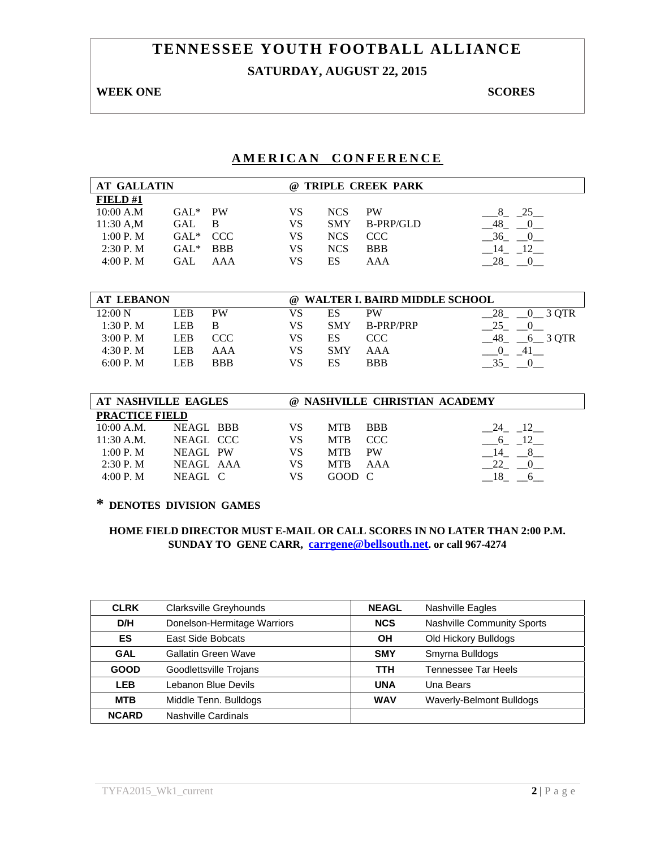# **TENNESSEE YOUTH FOOTBALL ALLIANCE SATURDAY, AUGUST 22, 2015**

## **WEEK ONE** SCORES

## **AMERICAN CONFERENCE**

| <b>AT GALLATIN</b>    |                  |            |           | @ TRIPLE CREEK PARK |                               |                      |
|-----------------------|------------------|------------|-----------|---------------------|-------------------------------|----------------------|
| FIELD#1               |                  |            |           |                     |                               |                      |
| 10:00 A.M             | $GAL*$           | <b>PW</b>  | <b>VS</b> | <b>NCS</b>          | <b>PW</b>                     | $8 - 25$             |
| 11:30 A,M             | GAL              | B          | <b>VS</b> | <b>SMY</b>          | <b>B-PRP/GLD</b>              | $-48$ $-0$           |
| 1:00 P.M              | $GAL*$           | CCC        | VS        | <b>NCS</b>          | <b>CCC</b>                    | $-36$ $-0$           |
| $2:30$ P. M           | $GAL^*$          | <b>BBB</b> | <b>VS</b> | <b>NCS</b>          | <b>BBB</b>                    | $-14$ $-12$          |
| 4:00 P. M             | <b>GAL</b>       | AAA        | <b>VS</b> | <b>ES</b>           | AAA                           | $-28$ $-0$           |
|                       |                  |            |           |                     |                               |                      |
|                       |                  |            |           |                     |                               |                      |
| <b>AT LEBANON</b>     |                  |            | $\omega$  |                     | WALTER I. BAIRD MIDDLE SCHOOL |                      |
| $12:00\text{ N}$      | <b>LEB</b>       | <b>PW</b>  | <b>VS</b> | ES                  | <b>PW</b>                     | $-0$ 3 QTR<br>28     |
| 1:30 P.M              | <b>LEB</b>       | B          | <b>VS</b> | <b>SMY</b>          | <b>B-PRP/PRP</b>              | 25<br>$\overline{0}$ |
| 3:00 P. M             | LEB              | <b>CCC</b> | <b>VS</b> | ES                  | CCC                           | $-48$ $-6$ 3 QTR     |
| 4:30 P.M              | <b>LEB</b>       | AAA        | <b>VS</b> | <b>SMY</b>          | AAA                           | $-0$ $-41$           |
| 6:00 P. M             | <b>LEB</b>       | <b>BBB</b> | <b>VS</b> | ES                  | <b>BBB</b>                    | $-35 - 0$            |
|                       |                  |            |           |                     |                               |                      |
|                       |                  |            |           |                     |                               |                      |
| AT NASHVILLE EAGLES   |                  |            |           |                     | @ NASHVILLE CHRISTIAN ACADEMY |                      |
| <b>PRACTICE FIELD</b> |                  |            |           |                     |                               |                      |
| 10:00 A.M.            | <b>NEAGL BBB</b> |            | VS.       | <b>MTB</b>          | <b>BBB</b>                    | 24 12                |
| 11:30 A.M.            | NEAGL CCC        |            | <b>VS</b> | <b>MTB</b>          | <b>CCC</b>                    | $-6 - 12$            |
| 1:00 P. M             | NEAGL PW         |            | VS.       | <b>MTB</b>          | <b>PW</b>                     | 14<br>$-8$           |
| $2:30$ P. M           | NEAGL AAA        |            | <b>VS</b> | <b>MTB</b>          | AAA                           | 22<br>$\overline{0}$ |
| 4:00 P.M              | NEAGL C          |            | VS        | <b>GOOD</b>         | C                             | 18<br>6              |

# **\* DENOTES DIVISION GAMES**

| <b>CLRK</b>  | Clarksville Greyhounds      | <b>NEAGL</b> | Nashville Eagles           |
|--------------|-----------------------------|--------------|----------------------------|
| D/H          | Donelson-Hermitage Warriors | <b>NCS</b>   | Nashville Community Sports |
| <b>ES</b>    | East Side Bobcats           | OH           | Old Hickory Bulldogs       |
| <b>GAL</b>   | Gallatin Green Wave         | <b>SMY</b>   | Smyrna Bulldogs            |
| <b>GOOD</b>  | Goodlettsville Trojans      | <b>TTH</b>   | Tennessee Tar Heels        |
| <b>LEB</b>   | Lebanon Blue Devils         | <b>UNA</b>   | Una Bears                  |
| <b>MTB</b>   | Middle Tenn. Bulldogs       | <b>WAV</b>   | Waverly-Belmont Bulldogs   |
| <b>NCARD</b> | Nashville Cardinals         |              |                            |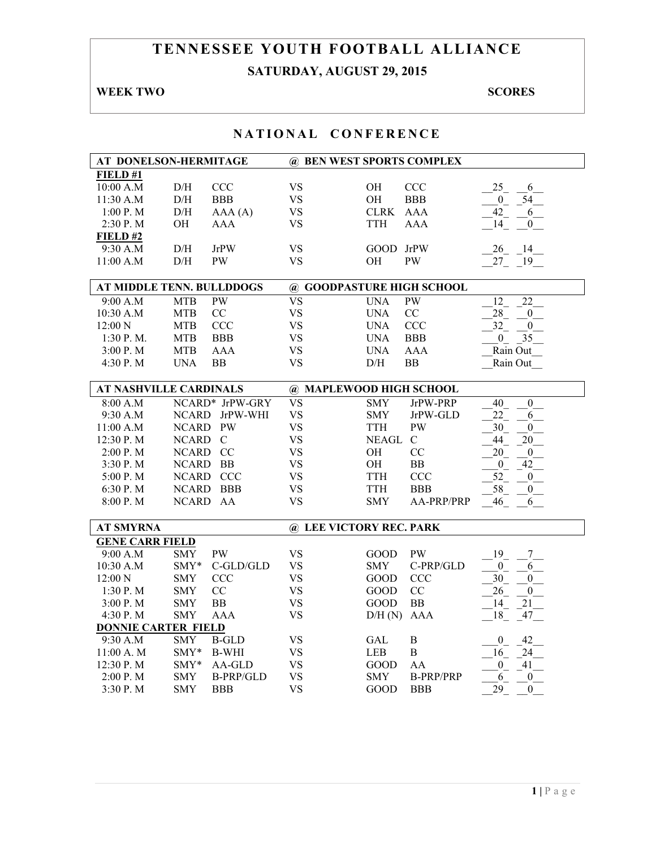# **TENNESSEE YOUTH FOOTBALL ALLIANCE SATURDAY, AUGUST 29, 2015**

# **WEEK TWO SCORES**

| AT DONELSON-HERMITAGE         |              |                  | @ BEN WEST SPORTS COMPLEX |             |                  |                         |
|-------------------------------|--------------|------------------|---------------------------|-------------|------------------|-------------------------|
| FIED#1                        |              |                  |                           |             |                  |                         |
| 10:00 A.M                     | D/H          | <b>CCC</b>       | <b>VS</b>                 | <b>OH</b>   | CCC              | 25<br>6                 |
| 11:30 A.M                     | $\rm{D/H}$   | <b>BBB</b>       | <b>VS</b>                 | <b>OH</b>   | <b>BBB</b>       | $-54$<br>$\overline{0}$ |
| 1:00 P. M                     | D/H          | AAA(A)           | <b>VS</b>                 | <b>CLRK</b> | <b>AAA</b>       | 42<br>6                 |
| 2:30 P.M                      | OН           | AAA              | <b>VS</b>                 | <b>TTH</b>  | AAA              | 14<br>$\mathbf{0}$      |
| FIELD#2                       |              |                  |                           |             |                  |                         |
| 9:30 A.M                      | D/H          | <b>JrPW</b>      | VS                        | GOOD        | <b>JrPW</b>      | 26<br>-14               |
| 11:00 A.M                     | D/H          | <b>PW</b>        | <b>VS</b>                 | OH          | <b>PW</b>        | 27<br>19                |
|                               |              |                  |                           |             |                  |                         |
| AT MIDDLE TENN. BULLDDOGS     |              |                  | @ GOODPASTURE HIGH SCHOOL |             |                  |                         |
| 9:00 A.M                      | <b>MTB</b>   | PW               | <b>VS</b>                 | <b>UNA</b>  | PW               | 12<br>22                |
| 10:30 A.M                     | <b>MTB</b>   | CC               | <b>VS</b>                 | <b>UNA</b>  | CC               | 28<br>$\overline{0}$    |
| $12:00\ N$                    | <b>MTB</b>   | <b>CCC</b>       | <b>VS</b>                 | <b>UNA</b>  | <b>CCC</b>       | 32<br>$\theta$          |
| $1:30$ P. M.                  | <b>MTB</b>   | <b>BBB</b>       | <b>VS</b>                 | <b>UNA</b>  | <b>BBB</b>       | 35<br>$\mathbf{0}$      |
| 3:00 P. M                     | <b>MTB</b>   | AAA              | <b>VS</b>                 | <b>UNA</b>  | AAA              | Rain Out                |
| 4:30 P.M                      | <b>UNA</b>   | <b>BB</b>        | <b>VS</b>                 | D/H         | BB               | Rain Out                |
|                               |              |                  |                           |             |                  |                         |
| <b>AT NASHVILLE CARDINALS</b> |              |                  | @ MAPLEWOOD HIGH SCHOOL   |             |                  |                         |
| 8:00 A.M                      |              | NCARD* JrPW-GRY  | <b>VS</b>                 | <b>SMY</b>  | JrPW-PRP         | 40<br>$\overline{0}$    |
| 9:30 A.M                      | <b>NCARD</b> | JrPW-WHI         | <b>VS</b>                 | <b>SMY</b>  | JrPW-GLD         | 22<br>6                 |
| 11:00 A.M                     | NCARD PW     |                  | <b>VS</b>                 | <b>TTH</b>  | <b>PW</b>        | 30<br>$\boldsymbol{0}$  |
| $12:30$ P. M                  | NCARD C      |                  | <b>VS</b>                 | NEAGL C     |                  | 44<br>20                |
| 2:00 P.M                      | NCARD CC     |                  | <b>VS</b>                 | <b>OH</b>   | CC               | 20<br>$\boldsymbol{0}$  |
| 3:30 P.M                      | NCARD BB     |                  | <b>VS</b>                 | OН          | <b>BB</b>        | $\mathbf{0}$<br>42      |
| 5:00 P.M                      |              | NCARD CCC        | <b>VS</b>                 | TTH         | <b>CCC</b>       | 52<br>$\overline{0}$    |
| 6:30 P.M                      |              | NCARD BBB        | <b>VS</b>                 | <b>TTH</b>  | <b>BBB</b>       | 58<br>$\overline{0}$    |
| 8:00 P.M                      | <b>NCARD</b> | AA               | <b>VS</b>                 | <b>SMY</b>  | AA-PRP/PRP       | 46<br>6                 |
|                               |              |                  |                           |             |                  |                         |
| <b>AT SMYRNA</b>              |              |                  | @ LEE VICTORY REC. PARK   |             |                  |                         |
| <b>GENE CARR FIELD</b>        |              |                  |                           |             |                  |                         |
| 9:00 A.M                      | <b>SMY</b>   | PW               | <b>VS</b>                 | GOOD        | <b>PW</b>        | 19<br>$7\overline{)}$   |
| 10:30 A.M                     | SMY*         | C-GLD/GLD        | <b>VS</b>                 | <b>SMY</b>  | C-PRP/GLD        | $\overline{0}$<br>6     |
| 12:00 N                       | <b>SMY</b>   | <b>CCC</b>       | <b>VS</b>                 | <b>GOOD</b> | <b>CCC</b>       | 30<br>$\overline{0}$    |
| 1:30 P. M                     | <b>SMY</b>   | CC               | <b>VS</b>                 | GOOD        | CC               | 26<br>$\overline{0}$    |
| 3:00 P. M                     | <b>SMY</b>   | BB               | <b>VS</b>                 | GOOD        | <b>BB</b>        | 14<br>$21\,$            |
| 4:30 P.M                      | <b>SMY</b>   | <b>AAA</b>       | <b>VS</b>                 | D/H(N)      | <b>AAA</b>       | 18<br>47                |
| <b>DONNIE CARTER FIELD</b>    |              |                  |                           |             |                  |                         |
| 9:30 A.M                      | <b>SMY</b>   | <b>B-GLD</b>     | <b>VS</b>                 | GAL         | B                | $\overline{0}$<br>42    |
| 11:00 A. M                    | SMY*         | <b>B-WHI</b>     | <b>VS</b>                 | <b>LEB</b>  | $\, {\bf B}$     | $\sqrt{24}$<br>16       |
| $12:30$ P. M                  | $SMY*$       | AA-GLD           | <b>VS</b>                 | <b>GOOD</b> | AA               | $\mathbf{0}$<br>41      |
| 2:00 P. M                     | SMY          | <b>B-PRP/GLD</b> | <b>VS</b>                 | <b>SMY</b>  | <b>B-PRP/PRP</b> | 6<br>$\boldsymbol{0}$   |
| 3:30 P.M                      | <b>SMY</b>   | <b>BBB</b>       | <b>VS</b>                 | GOOD        | <b>BBB</b>       | 29<br>$\overline{0}$    |
|                               |              |                  |                           |             |                  |                         |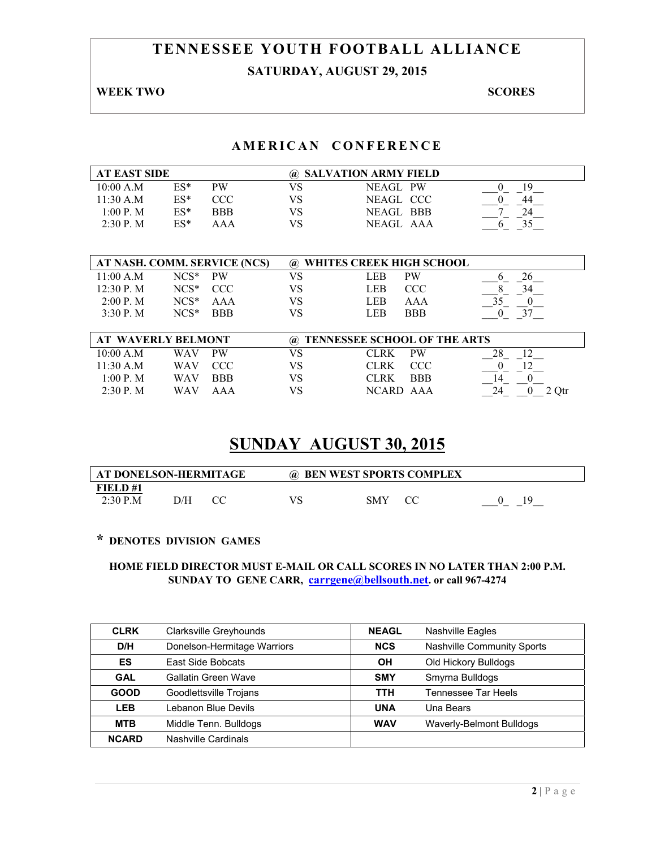# **TENNESSEE YOUTH FOOTBALL ALLIANCE SATURDAY, AUGUST 29, 2015**

#### **WEEK TWO SCORES**

## **AMERICAN CONFERENCE**

| <b>AT EAST SIDE</b><br>@ SALVATION ARMY FIELD |        |     |    |           |    |
|-----------------------------------------------|--------|-----|----|-----------|----|
| 10:00 A.M                                     | $ES^*$ | PW  | VS | NEAGL PW  | 19 |
| 11:30 A.M                                     | $ES*$  | CCC | VS | NEAGL CCC | 44 |
| 1:00 P. M                                     | $ES*$  | BBB | VS | NEAGL BBB |    |
| $2:30$ P. M                                   | $ES*$  | AAA | VS | NEAGL AAA |    |

| AT NASH. COMM. SERVICE (NCS) |         |            | @ WHITES CREEK HIGH SCHOOL |            |  |
|------------------------------|---------|------------|----------------------------|------------|--|
| 11.00 A M                    | $NCS^*$ | PW         | LEB                        | <b>PW</b>  |  |
| 12.30 P M                    | $NCS^*$ | CCC.       | LEB                        | CCC        |  |
| 2:00 P. M                    | $NCS*$  | AAA        | LEB                        | AAA        |  |
| 3.30 P M                     | $NCS*$  | <b>BBB</b> | LER.                       | <b>BBB</b> |  |

| AT WAVERLY BELMONT |     |            |    | @ TENNESSEE SCHOOL OF THE ARTS |            |       |
|--------------------|-----|------------|----|--------------------------------|------------|-------|
| 10:00 A.M          | WAV | <b>PW</b>  | VS | CLRK.                          | <b>PW</b>  |       |
| $11:30$ A.M        | WAV | CCC        | VS | CLRK –                         | <b>CCC</b> |       |
| 1.00 P M           | WAV | <b>BBB</b> | VS | CLRK –                         | <b>BBB</b> |       |
| $2:30$ P. M        | WAV | AAA        | VS | NCARD AAA                      |            | 2 Otr |

# **SUNDAY AUGUST 30, 2015**

| AT DONELSON-HERMITAGE |     | $\omega$ | <b>BEN WEST SPORTS COMPLEX</b> |    |
|-----------------------|-----|----------|--------------------------------|----|
| FIELD #1              |     |          |                                |    |
| $2:30$ P.M            | D/H |          | SMY                            | ١q |

## **\* DENOTES DIVISION GAMES**

| <b>CLRK</b>  | Clarksville Greyhounds      | <b>NEAGL</b> | Nashville Eagles                |
|--------------|-----------------------------|--------------|---------------------------------|
| D/H          | Donelson-Hermitage Warriors | <b>NCS</b>   | Nashville Community Sports      |
| <b>ES</b>    | East Side Bobcats           | OН           | Old Hickory Bulldogs            |
| <b>GAL</b>   | Gallatin Green Wave         | <b>SMY</b>   | Smyrna Bulldogs                 |
| <b>GOOD</b>  | Goodlettsville Trojans      | TTH          | Tennessee Tar Heels             |
| <b>LEB</b>   | Lebanon Blue Devils         | <b>UNA</b>   | Una Bears                       |
| <b>MTB</b>   | Middle Tenn. Bulldogs       | <b>WAV</b>   | <b>Waverly-Belmont Bulldogs</b> |
| <b>NCARD</b> | Nashville Cardinals         |              |                                 |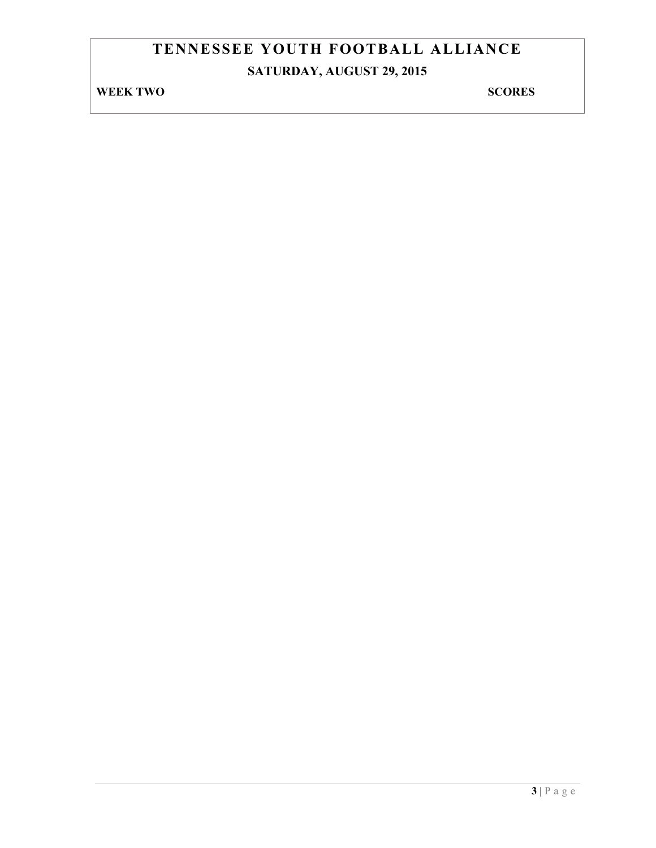# **TENNESSEE YOUTH FOOTBALL ALLIANCE SATURDAY, AUGUST 29, 2015**

# **WEEK TWO SCORES**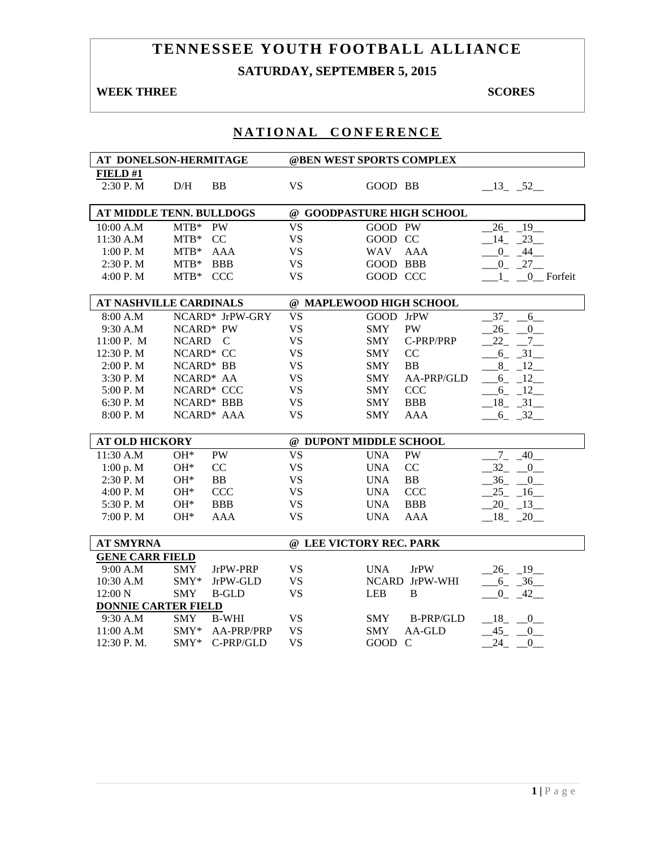# **TENNESSEE YOUTH FOOTBALL ALLIANCE SATURDAY, SEPTEMBER 5, 2015**

## **WEEK THREE** SCORES

|                            | AT DONELSON-HERMITAGE         |           | @BEN WEST SPORTS COMPLEX       |                                       |
|----------------------------|-------------------------------|-----------|--------------------------------|---------------------------------------|
| FIELD#1                    |                               |           |                                |                                       |
| 2:30 P.M                   | D/H<br><b>BB</b>              | <b>VS</b> | GOOD BB                        | $-13$ $-52$                           |
|                            | AT MIDDLE TENN. BULLDOGS      |           | @ GOODPASTURE HIGH SCHOOL      |                                       |
| 10:00 A.M                  | $MTB*$<br><b>PW</b>           | <b>VS</b> | GOOD PW                        | $26 - 19$                             |
| 11:30 A.M                  | $MTB*$<br>CC                  | <b>VS</b> | GOOD CC                        | 14<br>23                              |
| 1:00 P.M                   | $MTB*$<br><b>AAA</b>          | <b>VS</b> | <b>AAA</b><br>WAV              | $\overline{0}$<br>44                  |
| 2:30 P.M                   | $MTB*$<br><b>BBB</b>          | <b>VS</b> | GOOD BBB                       | $0 - 27$                              |
| 4:00 P. M                  | <b>CCC</b><br>$MTB*$          | <b>VS</b> | GOOD CCC                       | $1_{-}$<br>0 Forfeit                  |
|                            |                               |           |                                |                                       |
|                            | <b>AT NASHVILLE CARDINALS</b> |           | @ MAPLEWOOD HIGH SCHOOL        |                                       |
| 8:00 A.M                   | NCARD* JrPW-GRY               | <b>VS</b> | GOOD JrPW                      | 37<br>$6\overline{\phantom{0}}$       |
| 9:30 A.M                   | NCARD* PW                     | <b>VS</b> | <b>PW</b><br><b>SMY</b>        | $26 - 0$                              |
| 11:00 P. M                 | NCARD C                       | <b>VS</b> | C-PRP/PRP<br><b>SMY</b>        | $22 - 7$                              |
| 12:30 P.M                  | NCARD* CC                     | <b>VS</b> | CC<br><b>SMY</b>               | $-6$ $-31$                            |
| 2:00 P.M                   | NCARD* BB                     | <b>VS</b> | <b>SMY</b><br><b>BB</b>        | 8 12                                  |
| 3:30 P.M                   | NCARD* AA                     | <b>VS</b> | <b>SMY</b><br>AA-PRP/GLD       | $-6 - 12$                             |
| 5:00 P.M                   | NCARD* CCC                    | <b>VS</b> | <b>CCC</b><br><b>SMY</b>       | $-6 - 12$                             |
| 6:30 P.M                   | NCARD* BBB                    | <b>VS</b> | <b>BBB</b><br><b>SMY</b>       | $-18$ $-31$                           |
| 8:00 P.M                   | NCARD* AAA                    | <b>VS</b> | <b>AAA</b><br><b>SMY</b>       | $-6 - 32$                             |
|                            |                               |           |                                |                                       |
| <b>AT OLD HICKORY</b>      |                               |           | @ DUPONT MIDDLE SCHOOL         |                                       |
| 11:30 A.M                  | <b>PW</b><br>$OH*$            | <b>VS</b> | <b>UNA</b><br><b>PW</b>        | $-40$ <sup>-</sup><br>$.7\phantom{0}$ |
| 1:00 p. M                  | $OH*$<br>CC                   | <b>VS</b> | CC<br><b>UNA</b>               | 32<br>$\mathbf{0}$                    |
| 2:30 P.M                   | $OH*$<br>BB                   | <b>VS</b> | BB<br><b>UNA</b>               | 36<br>$\mathbf{0}$                    |
| 4:00 P.M                   | <b>CCC</b><br>$OH*$           | <b>VS</b> | <b>UNA</b><br>CCC              | $25 - 16$                             |
| 5:30 P.M                   | $OH*$<br><b>BBB</b>           | <b>VS</b> | <b>UNA</b><br><b>BBB</b>       | $-20 - 13$                            |
| 7:00 P.M                   | $OH*$<br><b>AAA</b>           | <b>VS</b> | <b>UNA</b><br><b>AAA</b>       | $-18$ $-20$                           |
|                            |                               |           |                                |                                       |
| <b>AT SMYRNA</b>           |                               |           | @ LEE VICTORY REC. PARK        |                                       |
| <b>GENE CARR FIELD</b>     |                               |           |                                |                                       |
| 9:00 A.M                   | <b>SMY</b><br>JrPW-PRP        | <b>VS</b> | <b>UNA</b><br><b>JrPW</b>      | $-26$ $-19$ $-$                       |
| 10:30 A.M                  | $SMY*$<br>JrPW-GLD            | <b>VS</b> | NCARD JrPW-WHI                 | $6 - 36$                              |
| 12:00 N                    | SMY<br><b>B-GLD</b>           | <b>VS</b> | <b>LEB</b><br>B                | $\overline{0}$<br>42                  |
| <b>DONNIE CARTER FIELD</b> |                               |           |                                |                                       |
| 9:30 A.M                   | <b>SMY</b><br><b>B-WHI</b>    | <b>VS</b> | <b>SMY</b><br><b>B-PRP/GLD</b> | $-18$ $-0$                            |
| 11:00 A.M                  | $SMY*$<br>AA-PRP/PRP          | <b>VS</b> | <b>SMY</b><br>AA-GLD           | $-45 - 0$                             |
| 12:30 P.M.                 | $SMY*$<br>C-PRP/GLD           | <b>VS</b> | GOOD C                         | $-24$ $-0$                            |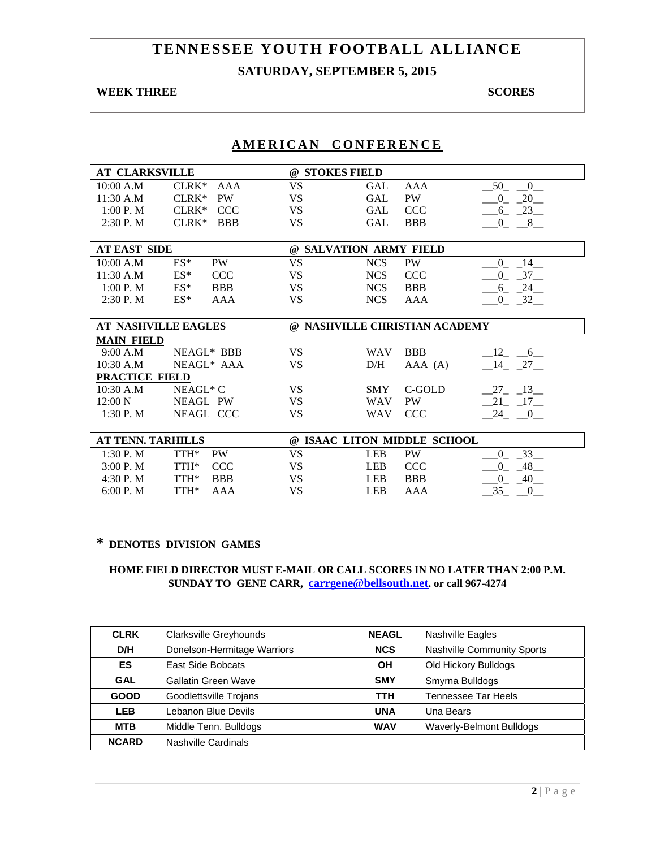## **SATURDAY, SEPTEMBER 5, 2015**

## **WEEK THREE** SCORES

## **AMERICAN CONFERENCE**

| <b>AT CLARKSVILLE</b> |                            |           | @ STOKES FIELD                |            |                               |
|-----------------------|----------------------------|-----------|-------------------------------|------------|-------------------------------|
| 10:00 A.M             | $CLRK*$<br>AAA             | <b>VS</b> | <b>GAL</b>                    | AAA        | 50<br>$\overline{\mathbf{0}}$ |
| 11:30 A.M             | <b>PW</b><br>$CLRK*$       | VS        | GAL                           | PW         | 20<br>$\overline{0}$          |
| 1:00 P. M             | $CLRK*$<br><b>CCC</b>      | <b>VS</b> | <b>GAL</b>                    | <b>CCC</b> | 23<br>6                       |
| 2:30 P. M             | $CLRK*$<br><b>BBB</b>      | <b>VS</b> | GAL                           | <b>BBB</b> | $0_{-}$<br>$-8$               |
|                       |                            |           |                               |            |                               |
| <b>AT EAST SIDE</b>   |                            |           | @ SALVATION ARMY FIELD        |            |                               |
| 10:00 A.M             | $ES^*$<br>PW               | <b>VS</b> | <b>NCS</b>                    | PW         | 0<br>14                       |
| 11:30 A.M             | $ES^*$<br><b>CCC</b>       | <b>VS</b> | <b>NCS</b>                    | <b>CCC</b> | $\overline{0}$<br>$-37$       |
| 1:00 P. M             | $ES^*$<br><b>BBB</b>       | VS.       | <b>NCS</b>                    | <b>BBB</b> | $6 - 24$                      |
| $2:30$ P. M           | $ES^*$<br>AAA              | <b>VS</b> | <b>NCS</b>                    | AAA        | $0 - 32$                      |
|                       |                            |           |                               |            |                               |
|                       |                            |           |                               |            |                               |
|                       | <b>AT NASHVILLE EAGLES</b> |           | @ NASHVILLE CHRISTIAN ACADEMY |            |                               |
| <b>MAIN FIELD</b>     |                            |           |                               |            |                               |
| 9:00 A.M              | NEAGL* BBB                 | <b>VS</b> | <b>WAV</b>                    | <b>BBB</b> | $-12$ $-6$                    |
| 10:30 A.M             | NEAGL* AAA                 | VS        | D/H                           | AAA (A)    | $-14$ $-27$                   |
| PRACTICE FIELD        |                            |           |                               |            |                               |
| 10:30 A.M             | NEAGL* C                   | VS.       | <b>SMY</b>                    | C-GOLD     | $-27$ $-13$ $-$               |
| 12:00 N               | NEAGL PW                   | <b>VS</b> | <b>WAV</b>                    | <b>PW</b>  | $-21 - 17$                    |
| 1:30 P. M             | NEAGL CCC                  | VS        | <b>WAV</b>                    | <b>CCC</b> | $-24$ $-0$ $-$                |
|                       |                            |           |                               |            |                               |
| AT TENN. TARHILLS     |                            |           | @ ISAAC LITON MIDDLE SCHOOL   |            |                               |
| 1:30 P.M              | TTH*<br>PW                 | <b>VS</b> | <b>LEB</b>                    | <b>PW</b>  | 33<br>$\Omega$                |
| 3:00 P.M              | TTH*<br><b>CCC</b>         | <b>VS</b> | <b>LEB</b>                    | <b>CCC</b> | 48<br>$\Omega$                |

# **\* DENOTES DIVISION GAMES**

#### **HOME FIELD DIRECTOR MUST E-MAIL OR CALL SCORES IN NO LATER THAN 2:00 P.M. SUNDAY TO GENE CARR, carrgene@bellsouth.net. or call 967-4274**

6:00 P. M TTH\* AAA  $\overline{V}$  VS LEB AAA  $\overline{35}$   $\overline{0}$ 

| <b>CLRK</b>  | Clarksville Greyhounds      | <b>NEAGL</b>               | Nashville Eagles           |
|--------------|-----------------------------|----------------------------|----------------------------|
| D/H          | Donelson-Hermitage Warriors | <b>NCS</b>                 | Nashville Community Sports |
| ES           | East Side Bobcats           | Old Hickory Bulldogs<br>OН |                            |
| <b>GAL</b>   | Gallatin Green Wave         | <b>SMY</b>                 | Smyrna Bulldogs            |
| <b>GOOD</b>  | Goodlettsville Trojans      | TTH                        | Tennessee Tar Heels        |
| <b>LEB</b>   | Lebanon Blue Devils         | <b>UNA</b>                 | Una Bears                  |
| <b>MTB</b>   | Middle Tenn. Bulldogs       | <b>WAV</b>                 | Waverly-Belmont Bulldogs   |
| <b>NCARD</b> | Nashville Cardinals         |                            |                            |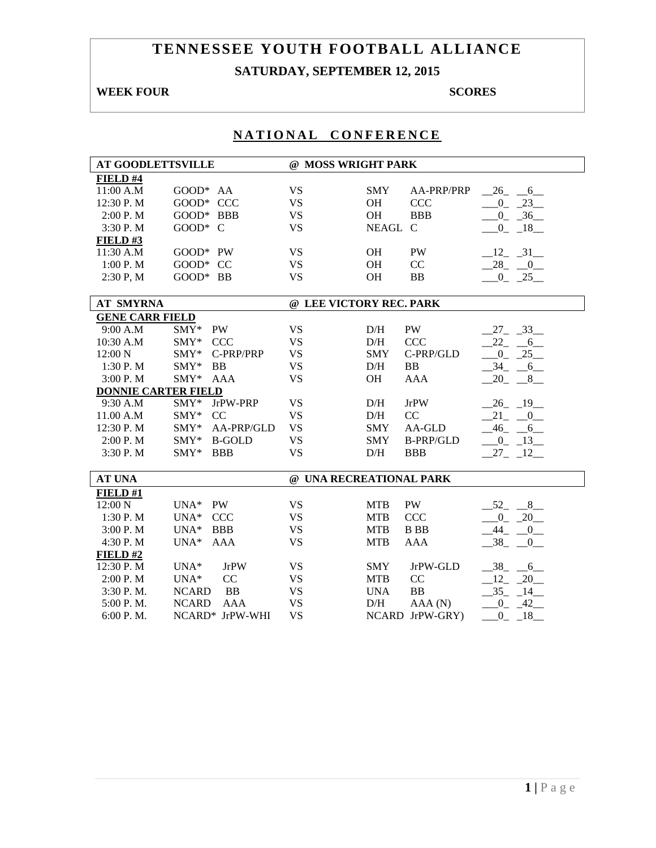# **TENNESSEE YOUTH FOOTBALL ALLIANCE SATURDAY, SEPTEMBER 12, 2015**

## **WEEK FOUR SCORES**

| <b>AT GOODLETTSVILLE</b>   |                             | @ MOSS WRIGHT PARK |                                |                                           |
|----------------------------|-----------------------------|--------------------|--------------------------------|-------------------------------------------|
| FIELD #4                   |                             |                    |                                |                                           |
| 11:00 A.M                  | GOOD* AA                    | <b>VS</b>          | <b>SMY</b><br>AA-PRP/PRP       | $-26$ $-6$                                |
| 12:30 P.M                  | GOOD* CCC                   | <b>VS</b>          | <b>OH</b><br><b>CCC</b>        | $-0$ $-23$                                |
| 2:00 P.M                   | GOOD* BBB                   | <b>VS</b>          | <b>OH</b><br><b>BBB</b>        | $-0$ $-36$                                |
| 3:30 P.M                   | GOOD* C                     | <b>VS</b>          | NEAGL C                        | $-0$ $-18$                                |
| FIELD#3                    |                             |                    |                                |                                           |
| 11:30 A.M                  | GOOD* PW                    | <b>VS</b>          | <b>OH</b><br>PW                | $-12$ $-31$                               |
| 1:00 P. M                  | GOOD* CC                    | <b>VS</b>          | CC<br><b>OH</b>                | $-28$ $-0$                                |
| 2:30 P, M                  | GOOD* BB                    | <b>VS</b>          | OH<br><b>BB</b>                | $-0$ $-25$                                |
|                            |                             |                    |                                |                                           |
| <b>AT SMYRNA</b>           |                             |                    | @ LEE VICTORY REC. PARK        |                                           |
| <b>GENE CARR FIELD</b>     |                             |                    |                                |                                           |
| 9:00 A.M                   | SMY* PW                     | <b>VS</b>          | PW<br>D/H                      | $27 - 33$                                 |
| 10:30 A.M                  | SMY* CCC                    | <b>VS</b>          | CCC<br>D/H                     | $22 - 6$                                  |
| 12:00 N                    | C-PRP/PRP<br>$\text{SMY}^*$ | <b>VS</b>          | C-PRP/GLD<br><b>SMY</b>        | $0 \quad 25$                              |
| 1:30 P.M                   | $SMY*$<br>BB                | <b>VS</b>          | BB<br>D/H                      | 34<br>$-6$                                |
| 3:00 P.M                   | $\text{SMY*}$<br>AAA        | <b>VS</b>          | <b>OH</b><br><b>AAA</b>        | 20<br>8                                   |
| <b>DONNIE CARTER FIELD</b> |                             |                    |                                |                                           |
| 9:30 A.M                   | SMY* JrPW-PRP               | <b>VS</b>          | <b>JrPW</b><br>D/H             | $-26$ $-19$                               |
| 11.00 A.M                  | SMY* CC                     | <b>VS</b>          | D/H<br>CC                      | $21 - 0$                                  |
| 12:30 P.M                  | $\text{SMY*}$<br>AA-PRP/GLD | <b>VS</b>          | AA-GLD<br><b>SMY</b>           | $-46$ $-6$                                |
| 2:00 P.M                   | SMY* B-GOLD                 | <b>VS</b>          | <b>B-PRP/GLD</b><br><b>SMY</b> | $-0$ $-13$                                |
| 3:30 P.M                   | SMY* BBB                    | <b>VS</b>          | D/H<br><b>BBB</b>              | $27 - 12$                                 |
|                            |                             |                    |                                |                                           |
| <b>AT UNA</b>              |                             |                    | @ UNA RECREATIONAL PARK        |                                           |
| FIELD#1                    |                             |                    |                                |                                           |
| 12:00 N                    | UNA* PW                     | <b>VS</b>          | PW<br><b>MTB</b>               | $-52$<br>$-8$                             |
| 1:30 P.M                   | <b>CCC</b><br>$UNA*$        | <b>VS</b>          | CCC<br><b>MTB</b>              | $\mathbf{0}$<br>$-20$                     |
| 3:00 P.M                   | $UNA*$<br><b>BBB</b>        | <b>VS</b>          | <b>MTB</b><br><b>B</b> BB      | $-44$<br>0                                |
| 4:30 P.M                   | $UNA*$<br><b>AAA</b>        | <b>VS</b>          | <b>MTB</b><br><b>AAA</b>       | $-38$<br>$\begin{array}{c} 0 \end{array}$ |
| FIELD #2                   |                             |                    |                                |                                           |
| 12:30 P.M                  | <b>JrPW</b><br>$UNA*$       | <b>VS</b>          | JrPW-GLD<br>SMY                | $-38$ $-6$                                |
| 2:00 P.M                   | CC<br>$UNA*$                | <b>VS</b>          | CC<br><b>MTB</b>               | 12<br>$-20$                               |
| 3:30 P.M.                  | <b>BB</b><br><b>NCARD</b>   | <b>VS</b>          | <b>BB</b><br><b>UNA</b>        | $35 -$<br>$-14$                           |
| 5:00 P.M.                  | <b>NCARD</b><br><b>AAA</b>  | <b>VS</b>          | AAA(N)<br>D/H                  | $\overline{0}$<br>42                      |
| 6:00 P.M.                  | NCARD* JrPW-WHI             | <b>VS</b>          | NCARD JrPW-GRY)                | $\mathbf{0}$<br>18                        |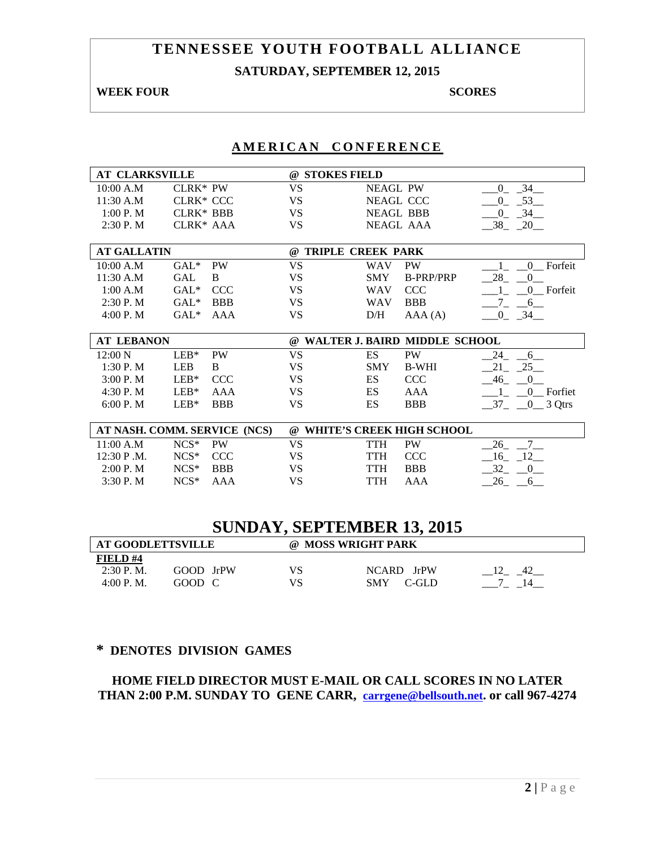# **TENNESSEE YOUTH FOOTBALL ALLIANCE SATURDAY, SEPTEMBER 12, 2015**

#### **WEEK FOUR SCORES**

## **AMERICAN CONFERENCE**

| <b>AT CLARKSVILLE</b> |                  |                              | @ STOKES FIELD |                          |                                  |                                    |
|-----------------------|------------------|------------------------------|----------------|--------------------------|----------------------------------|------------------------------------|
| 10:00 A.M             | <b>CLRK* PW</b>  |                              | <b>VS</b>      | <b>NEAGL PW</b>          |                                  | $-34$<br>$\overline{0}$            |
| 11:30 A.M             | CLRK* CCC        |                              | <b>VS</b>      |                          | NEAGL CCC                        | 53<br>$\overline{0}$               |
| 1:00 P. M             | <b>CLRK* BBB</b> |                              | VS.            |                          | <b>NEAGL BBB</b>                 | $-34$<br>$\Omega$                  |
| 2:30 P. M             | CLRK* AAA        |                              | <b>VS</b>      |                          | NEAGL AAA                        | $-38$ $-20$                        |
|                       |                  |                              |                |                          |                                  |                                    |
| <b>AT GALLATIN</b>    |                  |                              | $\omega$       | <b>TRIPLE CREEK PARK</b> |                                  |                                    |
| 10:00 A.M             | $GAL*$           | <b>PW</b>                    | <b>VS</b>      | <b>WAV</b>               | <b>PW</b>                        | Forfeit<br>$\mathbf{0}$            |
| 11:30 A.M             | <b>GAL</b>       | B                            | <b>VS</b>      | <b>SMY</b>               | <b>B-PRP/PRP</b>                 | 28<br>$\theta$                     |
| 1:00 A.M              | $GAL*$           | <b>CCC</b>                   | <b>VS</b>      | <b>WAV</b>               | <b>CCC</b>                       | 0 Forfeit                          |
| 2:30 P. M             | $GAL^*$          | <b>BBB</b>                   | VS             | <b>WAV</b>               | <b>BBB</b>                       | 6                                  |
| 4:00 P.M              | $GAL^*$          | AAA                          | VS             | D/H                      | AAA(A)                           | $-0$ $-34$ $-$                     |
|                       |                  |                              |                |                          |                                  |                                    |
| <b>AT LEBANON</b>     |                  |                              |                |                          | @ WALTER J. BAIRD MIDDLE SCHOOL  |                                    |
| 12:00 N               | $LEB*$           | <b>PW</b>                    | <b>VS</b>      | ES                       | PW                               | 24<br>6                            |
| 1:30P. M              | LEB              | B                            | <b>VS</b>      | <b>SMY</b>               | <b>B-WHI</b>                     | 25<br>21                           |
| 3:00P. M              | $LEB*$           | CCC                          | <b>VS</b>      | ES                       | <b>CCC</b>                       | 46<br>$\overline{0}$               |
| 4:30 P.M              | $LEB*$           | <b>AAA</b>                   | <b>VS</b>      | ES                       | <b>AAA</b>                       | $\Gamma$ Forfiet<br>$\overline{0}$ |
| 6:00 P.M              | $LEB*$           | <b>BBB</b>                   | <b>VS</b>      | ES                       | <b>BBB</b>                       | $-37 - 0$ 3 Qtrs                   |
|                       |                  |                              |                |                          |                                  |                                    |
|                       |                  | AT NASH. COMM. SERVICE (NCS) | $\omega$       |                          | <b>WHITE'S CREEK HIGH SCHOOL</b> |                                    |
| 11:00 A.M             | $NCS*$           | <b>PW</b>                    | <b>VS</b>      | TTH                      | <b>PW</b>                        | 7<br>26                            |
| 12:30 P.M.            | $NCS*$           | <b>CCC</b>                   | VS             | <b>TTH</b>               | <b>CCC</b>                       | $16 - 12$                          |
| 2:00 P.M              | $NCS*$           | <b>BBB</b>                   | VS             | <b>TTH</b>               | <b>BBB</b>                       | 32<br>$\bf{0}$                     |
| 3:30 P.M              | $NCS*$           | AAA                          | VS             | <b>TTH</b>               | AAA                              | 26<br>6                            |

# **SUNDAY, SEPTEMBER 13, 2015**

| <b>AT GOODLETTSVILLE</b> |           |    | @ MOSS WRIGHT PARK  |  |  |  |  |
|--------------------------|-----------|----|---------------------|--|--|--|--|
| FIELD#4                  |           |    |                     |  |  |  |  |
| $2:30$ P.M.              | GOOD JrPW | VS | NCARD JrPW          |  |  |  |  |
| 4:00 P. M.               | GOOD C    |    | <b>SMY</b><br>C-GLD |  |  |  |  |

## **\* DENOTES DIVISION GAMES**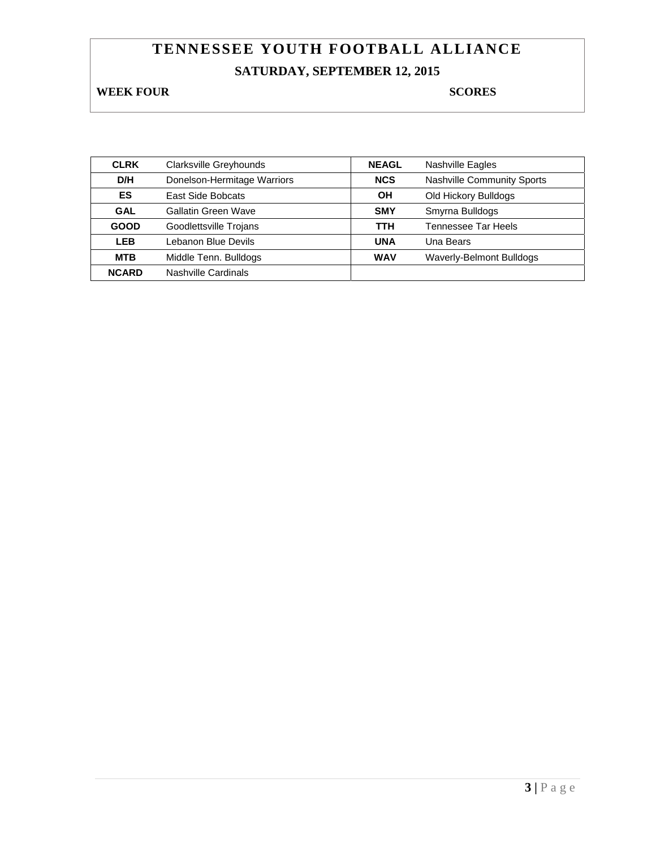# **TENNESSEE YOUTH FOOTBALL ALLIANCE SATURDAY, SEPTEMBER 12, 2015**

**WEEK FOUR SCORES** 

| <b>CLRK</b>  | Clarksville Greyhounds      | <b>NEAGL</b> | <b>Nashville Eagles</b>           |
|--------------|-----------------------------|--------------|-----------------------------------|
| D/H          | Donelson-Hermitage Warriors | <b>NCS</b>   | <b>Nashville Community Sports</b> |
| ES           | East Side Bobcats           | ΟH           | Old Hickory Bulldogs              |
| <b>GAL</b>   | Gallatin Green Wave         | <b>SMY</b>   | Smyrna Bulldogs                   |
| <b>GOOD</b>  | Goodlettsville Trojans      | <b>TTH</b>   | <b>Tennessee Tar Heels</b>        |
| <b>LEB</b>   | Lebanon Blue Devils         | <b>UNA</b>   | Una Bears                         |
| <b>MTB</b>   | Middle Tenn. Bulldogs       | <b>WAV</b>   | Waverly-Belmont Bulldogs          |
| <b>NCARD</b> | Nashville Cardinals         |              |                                   |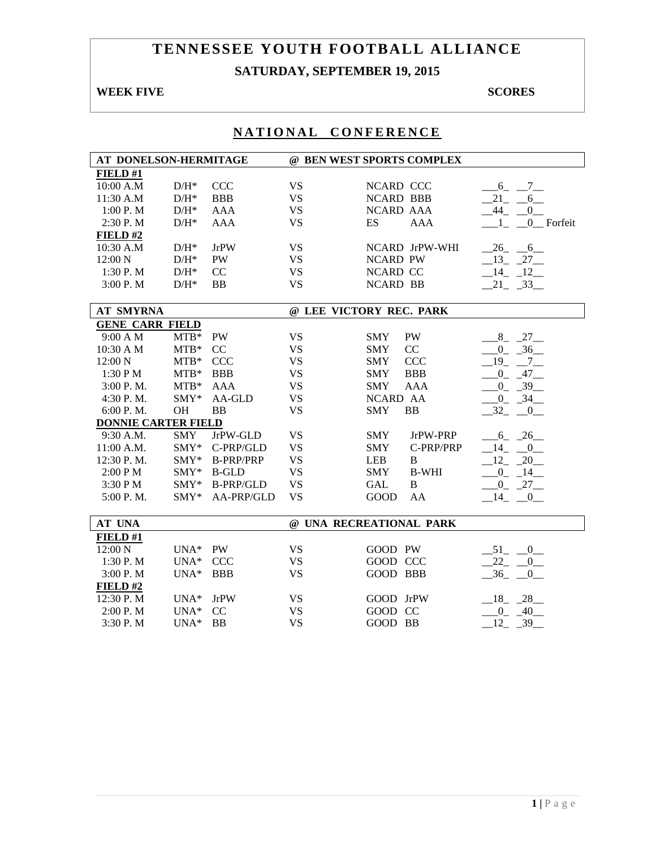# **TENNESSEE YOUTH FOOTBALL ALLIANCE SATURDAY, SEPTEMBER 19, 2015**

## **WEEK FIVE** SCORES

| AT DONELSON-HERMITAGE      |            |                  |           | @ BEN WEST SPORTS COMPLEX  |                         |
|----------------------------|------------|------------------|-----------|----------------------------|-------------------------|
| FIELD#1                    |            |                  |           |                            |                         |
| 10:00 A.M                  | $D/H^*$    | <b>CCC</b>       | <b>VS</b> | NCARD CCC                  | $-6$ <sub>-</sub> $-7$  |
| 11:30 A.M                  | $D/H^*$    | <b>BBB</b>       | <b>VS</b> | <b>NCARD BBB</b>           | $-21$ $-6$              |
| 1:00 P.M                   | $D/H^*$    | <b>AAA</b>       | <b>VS</b> | NCARD AAA                  | $-44$ $-0$              |
| 2:30 P.M                   | $D/H^*$    | <b>AAA</b>       | <b>VS</b> | ES<br><b>AAA</b>           | $0$ Forfeit<br>$\sim$ 1 |
| FIELD#2                    |            |                  |           |                            |                         |
| 10:30 A.M                  | $D/H^*$    | <b>JrPW</b>      | <b>VS</b> | NCARD JrPW-WHI             | $-26$ $-6$              |
| 12:00 N                    | $D/H^*$    | <b>PW</b>        | <b>VS</b> | <b>NCARD PW</b>            | $13 - 27$               |
| 1:30 P.M                   | $D/H^*$    | CC               | <b>VS</b> | <b>NCARD CC</b>            | $-14$ $-12$             |
| 3:00 P.M                   | $D/H^*$    | <b>BB</b>        | <b>VS</b> | <b>NCARD BB</b>            | $21 - 33$               |
|                            |            |                  |           |                            |                         |
| <b>AT SMYRNA</b>           |            |                  |           | @ LEE VICTORY REC. PARK    |                         |
| <b>GENE CARR FIELD</b>     |            |                  |           |                            |                         |
| 9:00 A M                   | $MTB*$     | PW               | <b>VS</b> | PW<br><b>SMY</b>           | $-8$ $-27$              |
| 10:30 A M                  | $MTB*$     | CC               | <b>VS</b> | CC<br><b>SMY</b>           | $-0$ $-36$              |
| 12:00 N                    | $MTB*$     | <b>CCC</b>       | <b>VS</b> | <b>CCC</b><br><b>SMY</b>   | $-19$ $-7$ $-$          |
| 1:30 P M                   | $MTB*$     | <b>BBB</b>       | <b>VS</b> | <b>BBB</b><br>SMY          | $0\quad 47$             |
| 3:00 P.M.                  | $MTB*$     | <b>AAA</b>       | <b>VS</b> | <b>SMY</b><br><b>AAA</b>   | $0 - 39$                |
| 4:30 P.M.                  | SMY*       | AA-GLD           | <b>VS</b> | NCARD AA                   | $0 - 34$                |
| 6:00 P.M.                  | <b>OH</b>  | <b>BB</b>        | <b>VS</b> | <b>SMY</b><br><b>BB</b>    | $-32 - 0$               |
| <b>DONNIE CARTER FIELD</b> |            |                  |           |                            |                         |
| $9:30$ A.M.                | <b>SMY</b> | JrPW-GLD         | <b>VS</b> | <b>SMY</b><br>JrPW-PRP     | $-6 - 26$               |
| 11:00 A.M.                 | SMY*       | C-PRP/GLD        | <b>VS</b> | <b>SMY</b><br>C-PRP/PRP    | $-14$ $-0$              |
| 12:30 P.M.                 | $SMY*$     | <b>B-PRP/PRP</b> | <b>VS</b> | <b>LEB</b><br>B            | $-12 - 20$              |
| 2:00 PM                    | SMY*       | <b>B-GLD</b>     | <b>VS</b> | <b>B-WHI</b><br><b>SMY</b> | $-0$ $-14$              |
| 3:30 PM                    | SMY*       | <b>B-PRP/GLD</b> | <b>VS</b> | <b>GAL</b><br>$\, {\bf B}$ | $-0$ $-27$ $-$          |
| 5:00 P.M.                  | $SMY*$     | AA-PRP/GLD       | <b>VS</b> | GOOD<br>AA                 | $-14$ $-0$              |
|                            |            |                  |           |                            |                         |
| AT UNA                     |            |                  |           | @ UNA RECREATIONAL PARK    |                         |
| FIELD#1                    |            |                  |           |                            |                         |
| 12:00 N                    | UNA* PW    |                  | <b>VS</b> | GOOD PW                    | $-51$ $-0$              |
| 1:30 P.M                   | UNA* CCC   |                  | <b>VS</b> | GOOD CCC                   | $-22$ $-0$              |
| 3:00 P.M                   | $UNA*$     | <b>BBB</b>       | <b>VS</b> | GOOD BBB                   | $-36$ $-0$              |
| FIELD#2                    |            |                  |           |                            |                         |
| 12:30 P.M                  | $UNA*$     | JrPW             | <b>VS</b> | GOOD JrPW                  | $18 - 28$               |
| 2:00 P.M                   | $UNA*$     | CC               | <b>VS</b> | GOOD CC                    | $0 - 40$                |
| 3:30 P.M                   | $UNA*$     | <b>BB</b>        | <b>VS</b> | GOOD BB                    | 12<br>$-39$             |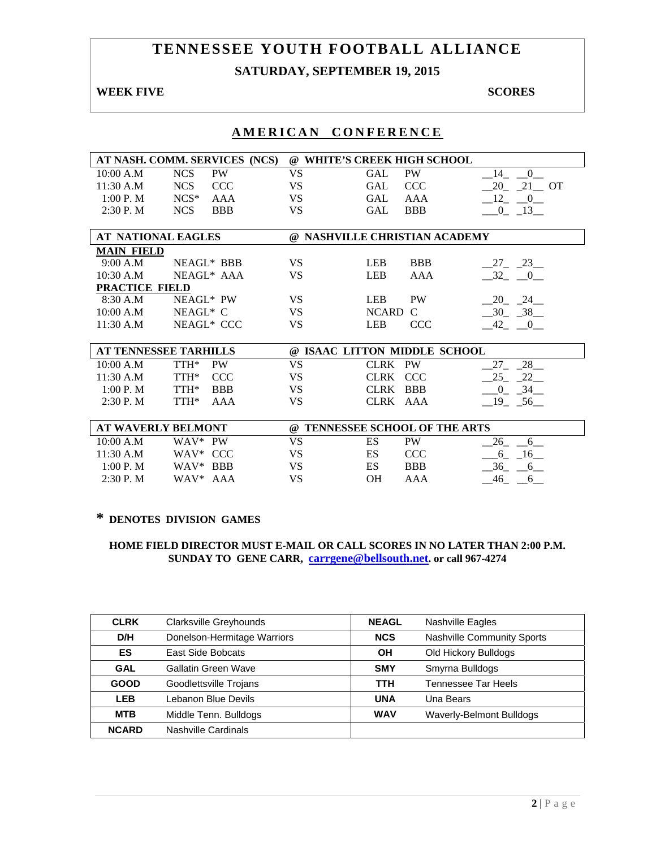# **TENNESSEE YOUTH FOOTBALL ALLIANCE SATURDAY, SEPTEMBER 19, 2015**

#### **WEEK FIVE SCORES**

|                    | AT NASH. COMM. SERVICES (NCS) | $\omega$  | <b>WHITE'S CREEK HIGH SCHOOL</b> |                       |
|--------------------|-------------------------------|-----------|----------------------------------|-----------------------|
| 10:00 A.M          | PW<br><b>NCS</b>              | <b>VS</b> | <b>PW</b><br><b>GAL</b>          | 14 0                  |
| 11:30 A.M          | CCC<br>NCS                    | <b>VS</b> | <b>CCC</b><br><b>GAL</b>         | 20 21 OT              |
| 1:00 P. M          | $NCS*$<br>AAA                 | <b>VS</b> | <b>GAL</b><br>AAA                | $-12$ $-0$            |
| $2:30$ P. M        | <b>NCS</b><br><b>BBB</b>      | <b>VS</b> | <b>GAL</b><br><b>BBB</b>         | $-0$ $-13$            |
|                    |                               |           |                                  |                       |
| AT NATIONAL EAGLES |                               |           | @ NASHVILLE CHRISTIAN ACADEMY    |                       |
| <b>MAIN FIELD</b>  |                               |           |                                  |                       |
| 9:00 A.M           | NEAGL* BBB                    | <b>VS</b> | <b>BBB</b><br><b>LEB</b>         | $27 - 23$             |
| 10:30 A.M          | NEAGL* AAA                    | <b>VS</b> | <b>LEB</b><br><b>AAA</b>         | $-32$ $-0$            |
| PRACTICE FIELD     |                               |           |                                  |                       |
| 8:30 A.M           | NEAGL* PW                     | <b>VS</b> | <b>LEB</b><br><b>PW</b>          | 20 24                 |
| 10:00 A.M          | $NEAGL^*$ C                   | <b>VS</b> | <b>NCARD</b><br>$\mathcal{C}$    | $-30$ $-38$           |
| 11:30 A.M          | NEAGL* CCC                    | <b>VS</b> | <b>LEB</b><br><b>CCC</b>         | $-42$ $-0$            |
|                    |                               |           |                                  |                       |
|                    | <b>AT TENNESSEE TARHILLS</b>  |           | @ ISAAC LITTON MIDDLE SCHOOL     |                       |
| 10:00 A.M          | TTH*<br><b>PW</b>             | <b>VS</b> | CLRK PW                          | $27 - 28$             |
| 11:30 A.M          | TTH*<br><b>CCC</b>            | <b>VS</b> | CLRK CCC                         | $-25$ $-22$           |
| 1:00 P. M          | TTH*<br><b>BBB</b>            | <b>VS</b> | CLRK BBB                         | $-0$ $-34$            |
| 2:30P. M           | TTH*<br>AAA                   | <b>VS</b> | CLRK AAA                         | $-19$ $-56$           |
|                    |                               |           |                                  |                       |
|                    | <b>AT WAVERLY BELMONT</b>     |           | @ TENNESSEE SCHOOL OF THE ARTS   |                       |
| 10:00 A.M          | WAV* PW                       | <b>VS</b> | ES<br>PW                         | 26<br>$6\overline{6}$ |
| 11:30 A.M          | WAV* CCC                      | <b>VS</b> | <b>ES</b><br><b>CCC</b>          | 6 16                  |
| 1:00 P. M          | WAV* BBB                      | VS        | ES<br><b>BBB</b>                 | 36<br>6               |
| 2:30P. M           | WAV* AAA                      | <b>VS</b> | OH<br>AAA                        | 46<br>6               |

# **AMERICAN CONFERENCE**

### **\* DENOTES DIVISION GAMES**

| <b>CLRK</b>  | Clarksville Greyhounds      | <b>NEAGL</b> | Nashville Eagles                  |
|--------------|-----------------------------|--------------|-----------------------------------|
| D/H          | Donelson-Hermitage Warriors | <b>NCS</b>   | <b>Nashville Community Sports</b> |
| ES           | East Side Bobcats           | OН           | Old Hickory Bulldogs              |
| <b>GAL</b>   | Gallatin Green Wave         | <b>SMY</b>   | Smyrna Bulldogs                   |
| <b>GOOD</b>  | Goodlettsville Trojans      | <b>TTH</b>   | Tennessee Tar Heels               |
| <b>LEB</b>   | Lebanon Blue Devils         | <b>UNA</b>   | Una Bears                         |
| <b>MTB</b>   | Middle Tenn. Bulldogs       | <b>WAV</b>   | Waverly-Belmont Bulldogs          |
| <b>NCARD</b> | Nashville Cardinals         |              |                                   |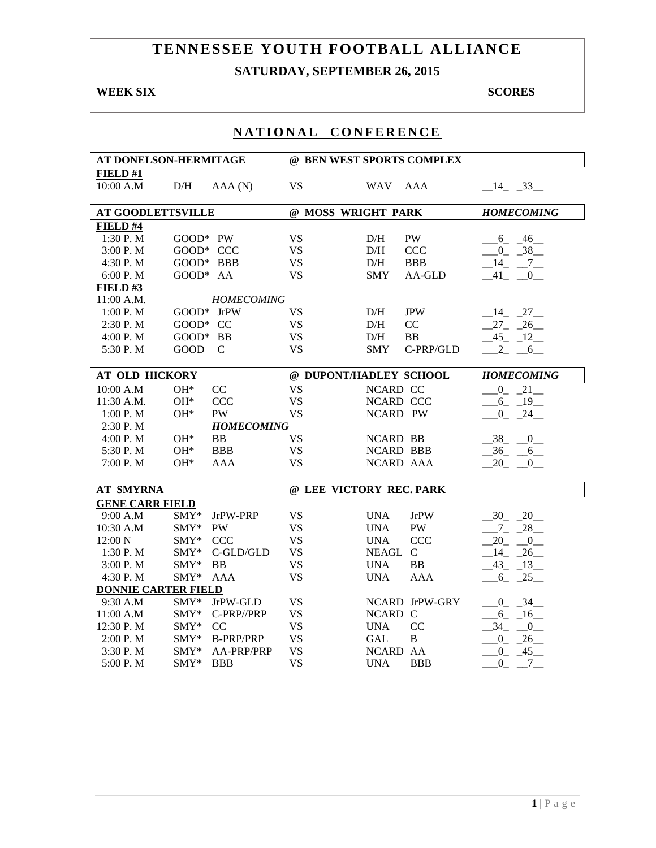# **TENNESSEE YOUTH FOOTBALL ALLIANCE SATURDAY, SEPTEMBER 26, 2015**

## **WEEK SIX** SCORES

| AT DONELSON-HERMITAGE      |              |                   | @ BEN WEST SPORTS COMPLEX |                  |                |                      |
|----------------------------|--------------|-------------------|---------------------------|------------------|----------------|----------------------|
| FIELD#1                    |              |                   |                           |                  |                |                      |
| 10:00 A.M                  | D/H          | AAA(N)            | <b>VS</b>                 | <b>WAV</b>       | AAA            | $-14$ $-33$          |
|                            |              |                   |                           |                  |                |                      |
| <b>AT GOODLETTSVILLE</b>   |              |                   | @ MOSS WRIGHT PARK        |                  |                | <b>HOMECOMING</b>    |
| FIELD #4                   |              |                   |                           |                  |                |                      |
| 1:30 P.M                   | GOOD* PW     |                   | <b>VS</b>                 | D/H              | PW             | $6 - 46$             |
| 3:00 P.M                   | GOOD* CCC    |                   | <b>VS</b>                 | D/H              | <b>CCC</b>     | $-0$ $-38$           |
| 4:30 P.M                   | GOOD* BBB    |                   | <b>VS</b>                 | D/H              | <b>BBB</b>     | $-14$ $-7$ $-$       |
| 6:00 P.M                   | GOOD* AA     |                   | <b>VS</b>                 | <b>SMY</b>       | AA-GLD         | $-41$ $-0$           |
| FIELD#3                    |              |                   |                           |                  |                |                      |
| $11:00$ A.M.               |              | <b>HOMECOMING</b> |                           |                  |                |                      |
| 1:00 P.M                   | $GOOD*$ JrPW |                   | <b>VS</b>                 | D/H              | <b>JPW</b>     | $-14$ $-27$          |
| 2:30 P.M                   | $GOOD*CC$    |                   | <b>VS</b>                 | D/H              | CC             | $27 - 26$            |
| 4:00 P. M                  | GOOD* BB     |                   | <b>VS</b>                 | D/H              | <b>BB</b>      | $-45 - 12$           |
| 5:30 P.M                   | GOOD         | $\mathcal{C}$     | <b>VS</b>                 | <b>SMY</b>       | C-PRP/GLD      | $2 \qquad 6$         |
| <b>AT OLD HICKORY</b>      |              |                   | @ DUPONT/HADLEY SCHOOL    |                  |                | <b>HOMECOMING</b>    |
| 10:00 A.M                  | $OH*$        | CC                | <b>VS</b>                 | NCARD CC         |                | $0 - 21$             |
| 11:30 A.M.                 | $OH*$        | <b>CCC</b>        | <b>VS</b>                 | NCARD CCC        |                | $-6 - 19$            |
| 1:00 P. M                  | $OH*$        | <b>PW</b>         | <b>VS</b>                 | NCARD PW         |                | $0 - 24$             |
| $2:30$ P. M                |              | <b>HOMECOMING</b> |                           |                  |                |                      |
| 4:00 P. M                  | $OH*$        | <b>BB</b>         | <b>VS</b>                 | <b>NCARD BB</b>  |                | $-38$ $-0$           |
| 5:30 P.M                   | $OH*$        | <b>BBB</b>        | <b>VS</b>                 | <b>NCARD BBB</b> |                | $-36 - 6$            |
| 7:00 P.M                   | $OH*$        | AAA               | <b>VS</b>                 | NCARD AAA        |                | $20 - 0$             |
| <b>AT SMYRNA</b>           |              |                   | @ LEE VICTORY REC. PARK   |                  |                |                      |
| <b>GENE CARR FIELD</b>     |              |                   |                           |                  |                |                      |
| 9:00 A.M                   | SMY*         | JrPW-PRP          | <b>VS</b>                 | <b>UNA</b>       | <b>JrPW</b>    | $-30 - 20$           |
| 10:30 A.M                  | SMY*         | <b>PW</b>         | <b>VS</b>                 | <b>UNA</b>       | PW             | $-7 - 28$            |
| 12:00 N                    | $SMY*$       | <b>CCC</b>        | <b>VS</b>                 | <b>UNA</b>       | <b>CCC</b>     | $20 - 0$             |
| 1:30 P.M                   | SMY*         | C-GLD/GLD         | <b>VS</b>                 | NEAGL            | $\mathcal{C}$  | $14 - 26$            |
| 3:00 P.M                   | SMY*         | <b>BB</b>         | <b>VS</b>                 | <b>UNA</b>       | <b>BB</b>      | $-43$ $-13$          |
| 4:30 P.M                   | SMY*         | <b>AAA</b>        | <b>VS</b>                 | <b>UNA</b>       | <b>AAA</b>     | $6 - 25$             |
| <b>DONNIE CARTER FIELD</b> |              |                   |                           |                  |                |                      |
| 9:30 A.M                   | SMY*         | JrPW-GLD          | <b>VS</b>                 |                  | NCARD JrPW-GRY | $0 - 34$             |
| 11:00 A.M                  | SMY*         | C-PRP//PRP        | <b>VS</b>                 | NCARD C          |                | $6 - 16$             |
| 12:30 P.M                  | SMY*         | CC                | <b>VS</b>                 | <b>UNA</b>       | CC             | 34<br>$\overline{0}$ |
| 2:00 P.M                   | SMY*         | <b>B-PRP/PRP</b>  | <b>VS</b>                 | <b>GAL</b>       | $\, {\bf B}$   | $0 - 26$             |
| 3:30 P.M                   | SMY*         | AA-PRP/PRP        | <b>VS</b>                 | NCARD AA         |                | $-0$ $-45$           |
| 5:00 P.M                   | SMY*         | <b>BBB</b>        | <b>VS</b>                 | <b>UNA</b>       | <b>BBB</b>     | $\overline{0}$<br>7  |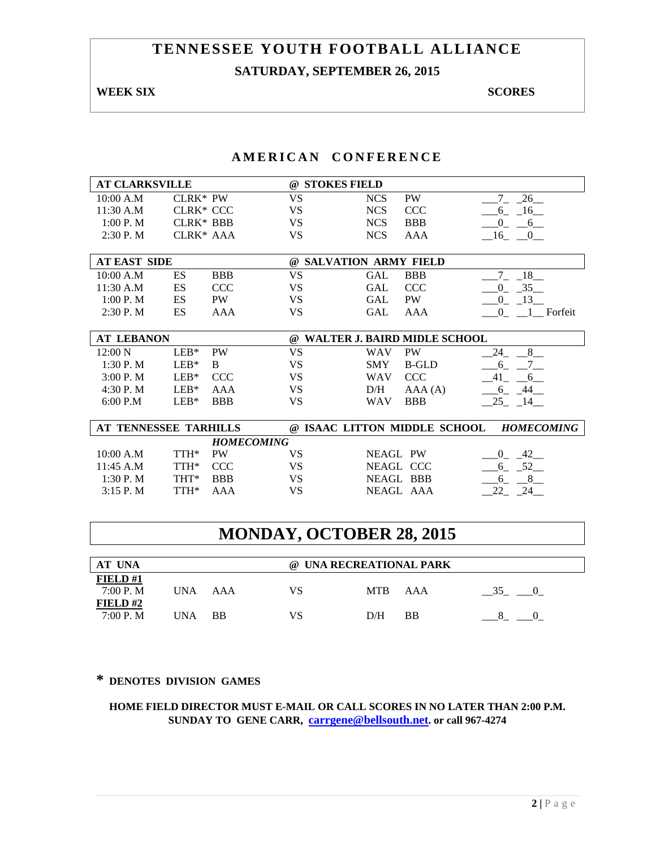# **TENNESSEE YOUTH FOOTBALL ALLIANCE SATURDAY, SEPTEMBER 26, 2015**

### **WEEK SIX** SCORES

## **AMERICAN CONFERENCE**

| @ STOKES FIELD                                     |
|----------------------------------------------------|
| $-7 - 26$<br><b>NCS</b><br>PW                      |
| <b>NCS</b><br><b>CCC</b><br>$6 - 16$               |
| <b>NCS</b><br><b>BBB</b><br>$0 - 6$                |
| <b>NCS</b><br>AAA<br>$-16$ $-0$                    |
|                                                    |
| @ SALVATION ARMY FIELD                             |
| 18<br><b>GAL</b><br><b>BBB</b>                     |
| 35<br><b>GAL</b><br><b>CCC</b><br>$\overline{0}$   |
| $-13$<br><b>GAL</b><br><b>PW</b><br>$\overline{0}$ |
| $0 \quad \_1$ Forfeit<br>GAL<br>AAA                |
|                                                    |
| @ WALTER J. BAIRD MIDLE SCHOOL                     |
| <b>PW</b><br>8<br><b>WAV</b><br>24                 |
| <b>SMY</b><br><b>B-GLD</b><br>6                    |
| 41<br><b>CCC</b><br><b>WAV</b><br>6                |
| D/H<br>$6 - 44$<br>AAA(A)                          |
| $-25 - 14$<br><b>BBB</b><br><b>WAV</b>             |
|                                                    |
| @ ISAAC LITTON MIDDLE SCHOOL<br><b>HOMECOMING</b>  |
|                                                    |
| <b>NEAGL PW</b><br>$0\quad 42$                     |
| 6 52<br>NEAGL CCC                                  |
| <b>NEAGL BBB</b><br>8<br>6                         |
| NEAGL AAA<br>22<br>24                              |
|                                                    |

# **MONDAY, OCTOBER 28, 2015**

| AT UNA                  |      |           | @ UNA RECREATIONAL PARK |            |     |  |  |
|-------------------------|------|-----------|-------------------------|------------|-----|--|--|
| FIELD#1<br>7:00 P. M    | UNA. | AAA       | VS                      | <b>MTB</b> | AAA |  |  |
| FIELD# $2$<br>7:00 P. M | UNA  | <b>BB</b> | VS                      | D/H        | BB  |  |  |

## **\* DENOTES DIVISION GAMES**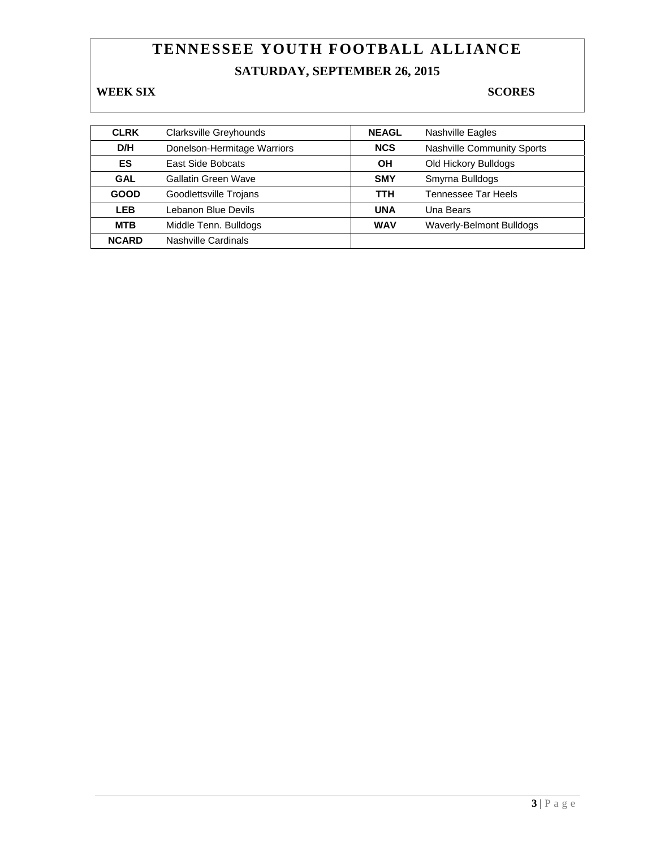# **TENNESSEE YOUTH FOOTBALL ALLIANCE SATURDAY, SEPTEMBER 26, 2015**

## **WEEK SIX** SCORES

| <b>CLRK</b>  | <b>Clarksville Greyhounds</b> | <b>NEAGL</b> | Nashville Eagles                |
|--------------|-------------------------------|--------------|---------------------------------|
| D/H          | Donelson-Hermitage Warriors   | <b>NCS</b>   | Nashville Community Sports      |
| ES           | <b>East Side Bobcats</b>      | ΟH           | Old Hickory Bulldogs            |
| <b>GAL</b>   | Gallatin Green Wave           | <b>SMY</b>   | Smyrna Bulldogs                 |
| <b>GOOD</b>  | Goodlettsville Trojans        | TTH          | <b>Tennessee Tar Heels</b>      |
| <b>LEB</b>   | Lebanon Blue Devils           | <b>UNA</b>   | Una Bears                       |
| <b>MTB</b>   | Middle Tenn. Bulldogs         | <b>WAV</b>   | <b>Waverly-Belmont Bulldogs</b> |
| <b>NCARD</b> | Nashville Cardinals           |              |                                 |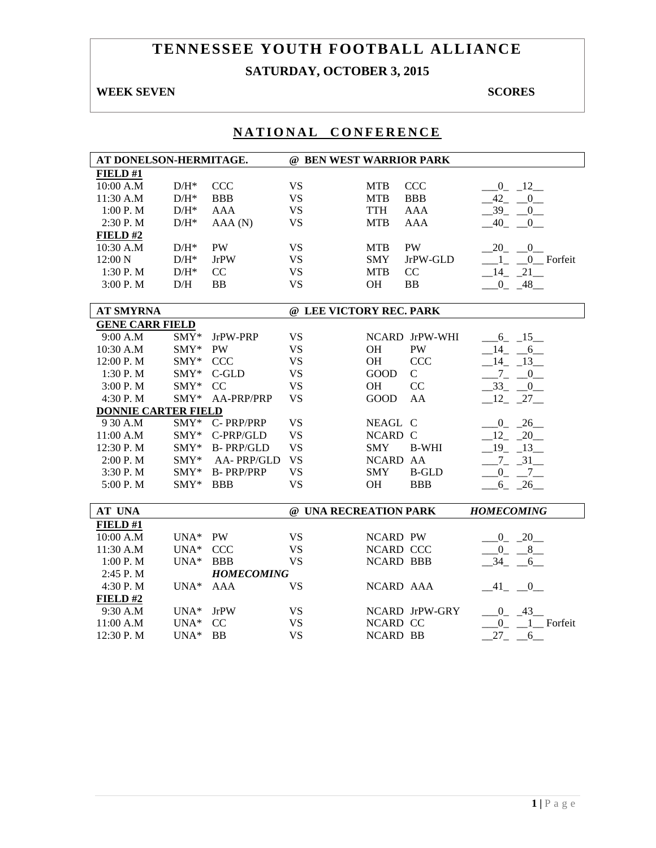# **TENNESSEE YOUTH FOOTBALL ALLIANCE SATURDAY, OCTOBER 3, 2015**

### **WEEK SEVEN** SCORES

| AT DONELSON-HERMITAGE.     |                    |                   | @ BEN WEST WARRIOR PARK |                  |                |                             |
|----------------------------|--------------------|-------------------|-------------------------|------------------|----------------|-----------------------------|
| FIELD#1                    |                    |                   |                         |                  |                |                             |
| 10:00 A.M                  | $\mathrm{D/H^{*}}$ | <b>CCC</b>        | <b>VS</b>               | <b>MTB</b>       | <b>CCC</b>     | $0 - 12$                    |
| 11:30 A.M                  | $D/H^*$            | <b>BBB</b>        | <b>VS</b>               | <b>MTB</b>       | <b>BBB</b>     | 42<br>$^{0}$                |
| 1:00 P.M                   | $D/H^*$            | <b>AAA</b>        | <b>VS</b>               | <b>TTH</b>       | <b>AAA</b>     | 39<br>$\overline{0}$        |
| 2:30 P.M                   | $D/H^*$            | AAA (N)           | <b>VS</b>               | <b>MTB</b>       | <b>AAA</b>     | 40<br>$\overline{0}$        |
| FIELD#2                    |                    |                   |                         |                  |                |                             |
| 10:30 A.M                  | $\mathrm{D/H^{*}}$ | <b>PW</b>         | <b>VS</b>               | <b>MTB</b>       | <b>PW</b>      | $-20$ $-0$                  |
| 12:00 N                    | $D/H^*$            | <b>JrPW</b>       | <b>VS</b>               | <b>SMY</b>       | JrPW-GLD       | $1_{-}$ $0_{-}$ Forfeit     |
| 1:30 P.M                   | $D/H^*$            | CC                | <b>VS</b>               | <b>MTB</b>       | CC             | $-14$ $-21$                 |
| 3:00 P.M                   | D/H                | <b>BB</b>         | <b>VS</b>               | <b>OH</b>        | <b>BB</b>      | $0 - 48$                    |
|                            |                    |                   |                         |                  |                |                             |
| <b>AT SMYRNA</b>           |                    |                   | @ LEE VICTORY REC. PARK |                  |                |                             |
| <b>GENE CARR FIELD</b>     |                    |                   |                         |                  |                |                             |
| 9:00 A.M                   | SMY*               | JrPW-PRP          | <b>VS</b>               |                  | NCARD JrPW-WHI | $-6 - 15$                   |
| 10:30 A.M                  | SMY*               | PW                | <b>VS</b>               | <b>OH</b>        | PW             | $-14$ $-6$                  |
| 12:00 P.M                  | SMY*               | <b>CCC</b>        | <b>VS</b>               | OH               | <b>CCC</b>     | $-14$ $-13$                 |
| 1:30 P.M                   | SMY*               | $C$ -GLD          | <b>VS</b>               | GOOD             | $\mathcal{C}$  | $-7$<br>$\overline{0}$      |
| 3:00 P.M                   | SMY*               | CC                | <b>VS</b>               | OH               | CC             | $-33$<br>$\mathbf{0}$       |
| 4:30 P.M                   | SMY*               | AA-PRP/PRP        | <b>VS</b>               | <b>GOOD</b>      | AA             | $12 - 27$                   |
| <b>DONNIE CARTER FIELD</b> |                    |                   |                         |                  |                |                             |
| 9 30 A.M                   | $SMY*$             | C-PRP/PRP         | <b>VS</b>               | NEAGL C          |                | $0 - 26$                    |
| 11:00 A.M                  | SMY*               | C-PRP/GLD         | <b>VS</b>               | NCARD C          |                | $12 - 20$                   |
| 12:30 P.M                  | SMY*               | <b>B-PRP/GLD</b>  | <b>VS</b>               | <b>SMY</b>       | <b>B-WHI</b>   | $19 - 13$                   |
| 2:00 P.M                   | SMY*               | AA-PRP/GLD        | <b>VS</b>               | NCARD AA         |                | $7 - 31$                    |
| 3:30 P.M                   | $SMY*$             | <b>B-PRP/PRP</b>  | <b>VS</b>               | <b>SMY</b>       | <b>B-GLD</b>   | $0 - 7$                     |
| 5:00 P.M                   | $\text{SMY*}$      | <b>BBB</b>        | <b>VS</b>               | <b>OH</b>        | <b>BBB</b>     | $6 - 26$                    |
|                            |                    |                   |                         |                  |                |                             |
| <b>AT UNA</b>              |                    |                   | @ UNA RECREATION PARK   |                  |                | <b>HOMECOMING</b>           |
| FIELD#1                    |                    |                   |                         |                  |                |                             |
| 10:00 A.M                  | $UNA*$             | PW                | <b>VS</b>               | <b>NCARD PW</b>  |                | $0 - 20$                    |
| 11:30 A.M                  | $UNA*$             | <b>CCC</b>        | <b>VS</b>               | NCARD CCC        |                | $0 - 8$                     |
| 1:00 P.M                   | $UNA*$             | <b>BBB</b>        | <b>VS</b>               | <b>NCARD BBB</b> |                | 34<br>6                     |
| 2:45 P.M                   |                    | <b>HOMECOMING</b> |                         |                  |                |                             |
| 4:30 P.M                   | $UNA*$             | <b>AAA</b>        | <b>VS</b>               | NCARD AAA        |                | $-41$ $-0$ $-$              |
| FIELD#2                    |                    |                   |                         |                  |                |                             |
| 9:30 A.M                   | $UNA*$             | <b>JrPW</b>       | <b>VS</b>               |                  | NCARD JrPW-GRY | $0 - 43$                    |
| 11:00 A.M                  | $UNA*$             | CC                | <b>VS</b>               | NCARD CC         |                | 1 Forfeit<br>$\overline{0}$ |
| 12:30 P.M                  | $UNA*$             | <b>BB</b>         | <b>VS</b>               | <b>NCARD BB</b>  |                | 27<br>6                     |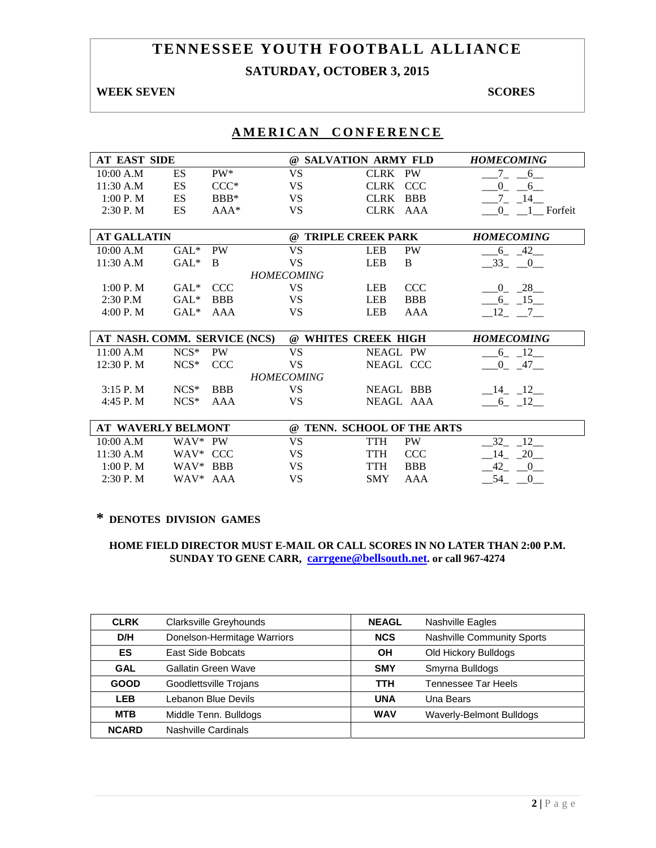# **SATURDAY, OCTOBER 3, 2015**

## **WEEK SEVEN** SCORES

# **AMERICAN CONFERENCE**

| <b>AT EAST SIDE</b> |    |        |    | @ SALVATION ARMY FLD | <b>HOMECOMING</b> |
|---------------------|----|--------|----|----------------------|-------------------|
| 10:00 A.M           | ES | PW*    | VS | CLRK PW              |                   |
| 11:30 A.M           | ES | CCC*   | VS | CLRK CCC             |                   |
| 1:00 P. M           | ES | $BBB*$ | VS | CLRK BBB             | 14                |
| $2:30$ P. M         | ES | $AA*$  | VS | CLRK AAA             | Forfeit           |

| <b>AT GALLATIN</b> |         |            | <b>TRIPLE CREEK PARK</b><br>(a) |            |            | <b>HOMECOMING</b> |
|--------------------|---------|------------|---------------------------------|------------|------------|-------------------|
| 10:00 A.M          | $GAL^*$ | PW         | VS                              | LEB        | <b>PW</b>  |                   |
| 11:30 A.M          | $GAL^*$ | -B         | VS                              | LEB        | B          |                   |
|                    |         |            | <b>HOMECOMING</b>               |            |            |                   |
| 1:00 P. M          | $GAI.*$ | CCC.       | VS                              | LEB        | <b>CCC</b> | 28                |
| $2:30$ P.M         | $GAL^*$ | <b>BBB</b> | VS                              | <b>LEB</b> | <b>BBB</b> |                   |
| 4:00 P. M          | $GAI.*$ | AAA        | VS                              | LEB        | AAA        |                   |

| AT NASH. COMM. SERVICE (NCS) |               |            |                   | @ WHITES CREEK HIGH | <b>HOMECOMING</b> |
|------------------------------|---------------|------------|-------------------|---------------------|-------------------|
| 11:00 A.M                    | $NCS^*$       | <b>PW</b>  | VS                | NEAGL PW            | $\overline{a}$    |
| 12:30 P. M                   | $NCS^*$ $CCC$ |            | VS                | NEAGL CCC           | 47                |
|                              |               |            | <b>HOMECOMING</b> |                     |                   |
| $3:15$ P. M                  | $NCS^*$       | <b>BBB</b> | VS                | NEAGL BBB           | - 12<br>$-14$     |
| $4:45P$ . M                  | $NCS^*$       | AAA        | VS                | NEAGL AAA           |                   |

|                     | AT WAVERLY BELMONT   | $\omega$ | <b>TENN. SCHOOL OF THE ARTS</b> |            |  |
|---------------------|----------------------|----------|---------------------------------|------------|--|
| 10:00 A.M           | WAV* PW              | VS       | TTH                             | <b>PW</b>  |  |
| $11:30 \text{ A.M}$ | WAV <sup>*</sup> CCC | VS       | TTH                             | CCC.       |  |
| 1:00 P. M           | WAV* BBB             | VS       | TTH                             | <b>BBB</b> |  |
| 2:30 P. M           | $WAV^*$ AAA          | VS       | <b>SMY</b>                      | AAA        |  |

#### **\* DENOTES DIVISION GAMES**

| <b>CLRK</b>  | Clarksville Greyhounds      | <b>NEAGL</b> | Nashville Eagles           |
|--------------|-----------------------------|--------------|----------------------------|
| D/H          | Donelson-Hermitage Warriors | <b>NCS</b>   | Nashville Community Sports |
| ES           | East Side Bobcats           | OН           | Old Hickory Bulldogs       |
| <b>GAL</b>   | Gallatin Green Wave         | <b>SMY</b>   | Smyrna Bulldogs            |
| <b>GOOD</b>  | Goodlettsville Trojans      | <b>TTH</b>   | Tennessee Tar Heels        |
| <b>LEB</b>   | Lebanon Blue Devils         | <b>UNA</b>   | Una Bears                  |
| <b>MTB</b>   | Middle Tenn. Bulldogs       | <b>WAV</b>   | Waverly-Belmont Bulldogs   |
| <b>NCARD</b> | Nashville Cardinals         |              |                            |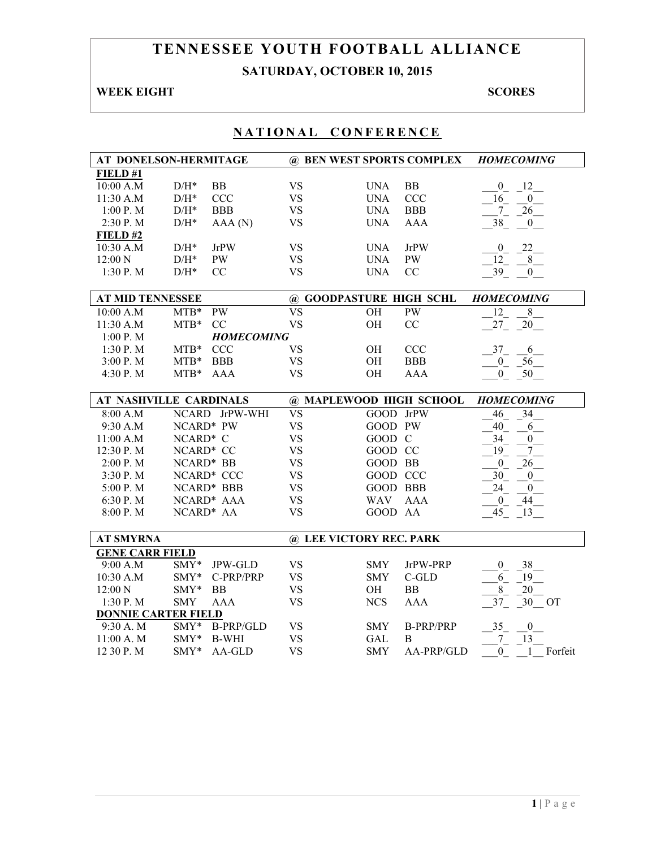# **TENNESSEE YOUTH FOOTBALL ALLIANCE SATURDAY, OCTOBER 10, 2015**

## **WEEK EIGHT SCORES**

| AT DONELSON-HERMITAGE      |                    |                   | @ BEN WEST SPORTS COMPLEX |                 |                  | <b>HOMECOMING</b>                      |
|----------------------------|--------------------|-------------------|---------------------------|-----------------|------------------|----------------------------------------|
| FIELD#1                    |                    |                   |                           |                 |                  |                                        |
| 10:00 A.M                  | $\mathrm{D/H^{*}}$ | <b>BB</b>         | <b>VS</b>                 | <b>UNA</b>      | BB               | $\mathbf{0}$<br>12                     |
| 11:30 A.M                  | $D/H^*$            | <b>CCC</b>        | <b>VS</b>                 | <b>UNA</b>      | <b>CCC</b>       | 16<br>$\overline{0}$                   |
| 1:00 P. M                  | $\rm{D/H^{*}}$     | <b>BBB</b>        | <b>VS</b>                 | <b>UNA</b>      | <b>BBB</b>       | 26<br>$7\overline{ }$                  |
| 2:30 P.M                   | $D/H^*$            | AAA (N)           | <b>VS</b>                 | <b>UNA</b>      | <b>AAA</b>       | 38<br>$\overline{0}$                   |
| FIELD#2                    |                    |                   |                           |                 |                  |                                        |
| 10:30 A.M                  | $D/H^*$            | <b>JrPW</b>       | <b>VS</b>                 | <b>UNA</b>      | <b>JrPW</b>      | 22<br>$\boldsymbol{0}$                 |
| 12:00 N                    | $D/H^*$            | <b>PW</b>         | <b>VS</b>                 | <b>UNA</b>      | PW               | 12<br>8                                |
| 1:30 P.M                   | $D/H^*$            | CC                | <b>VS</b>                 | <b>UNA</b>      | CC               | 39<br>$\overline{0}$                   |
|                            |                    |                   |                           |                 |                  |                                        |
| <b>AT MID TENNESSEE</b>    |                    |                   | @ GOODPASTURE HIGH SCHL   |                 |                  | <b>HOMECOMING</b>                      |
| 10:00 A.M                  | $MTB*$             | <b>PW</b>         | $\overline{\text{VS}}$    | OH              | <b>PW</b>        | $\overline{12}$<br>8                   |
| 11:30 A.M                  | $MTB*$             | CC                | <b>VS</b>                 | OH              | CC               | $27_{-}$<br>$\overline{\phantom{0}20}$ |
| $1:00$ P. M                |                    | <b>HOMECOMING</b> |                           |                 |                  |                                        |
| 1:30 P.M                   | $MTB*$             | <b>CCC</b>        | <b>VS</b>                 | OH              | <b>CCC</b>       | $37_{-}$<br>6                          |
| 3:00 P.M                   | $MTB*$             | <b>BBB</b>        | <b>VS</b>                 | OH              | <b>BBB</b>       | 56<br>$\boldsymbol{0}$                 |
| 4:30 P.M                   | $MTB*$             | <b>AAA</b>        | <b>VS</b>                 | OH              | <b>AAA</b>       | $\overline{0}$<br>50                   |
|                            |                    |                   |                           |                 |                  |                                        |
| AT NASHVILLE CARDINALS     |                    |                   | @ MAPLEWOOD HIGH SCHOOL   |                 |                  | <b>HOMECOMING</b>                      |
| 8:00 A.M                   |                    | NCARD JrPW-WHI    | $\overline{\text{VS}}$    | GOOD JrPW       |                  | $\overline{34}$<br>46                  |
| 9:30 A.M                   | NCARD* PW          |                   | <b>VS</b>                 | GOOD PW         |                  | 40<br>6                                |
| 11:00 A.M                  | NCARD* C           |                   | <b>VS</b>                 | GOOD C          |                  | 34<br>$\boldsymbol{0}$                 |
| 12:30 P.M                  | NCARD* CC          |                   | <b>VS</b>                 | GOOD CC         |                  | 19<br>$\overline{7}$                   |
| 2:00 P.M                   | NCARD* BB          |                   | <b>VS</b>                 | GOOD BB         |                  | $\boldsymbol{0}$<br>26                 |
| 3:30 P.M                   |                    | NCARD* CCC        | <b>VS</b>                 | GOOD CCC        |                  | 30<br>$\mathbf{0}$                     |
| 5:00 P.M                   |                    | NCARD* BBB        | <b>VS</b>                 | <b>GOOD BBB</b> |                  | 24<br>$\overline{0}$                   |
| 6:30 P.M                   |                    | NCARD* AAA        | <b>VS</b>                 | <b>WAV</b>      | <b>AAA</b>       | 44<br>$\overline{0}$                   |
| 8:00 P.M                   | NCARD* AA          |                   | <b>VS</b>                 | GOOD AA         |                  | 45<br>13                               |
|                            |                    |                   |                           |                 |                  |                                        |
| <b>AT SMYRNA</b>           |                    |                   | @ LEE VICTORY REC. PARK   |                 |                  |                                        |
| <b>GENE CARR FIELD</b>     |                    |                   |                           |                 |                  |                                        |
| 9:00 A.M                   | SMY*               | <b>JPW-GLD</b>    | <b>VS</b>                 | <b>SMY</b>      | JrPW-PRP         | 38<br>$\overline{0}$                   |
| 10:30 A.M                  | $SMY*$             | C-PRP/PRP         | <b>VS</b>                 | <b>SMY</b>      | $C$ -GLD         | 6<br>19                                |
| 12:00 N                    | $SMY*$             | <b>BB</b>         | <b>VS</b>                 | OH              | <b>BB</b>        | 8<br>20                                |
| 1:30P. M                   | <b>SMY</b>         | <b>AAA</b>        | <b>VS</b>                 | <b>NCS</b>      | <b>AAA</b>       | 37<br>30<br><b>OT</b>                  |
| <b>DONNIE CARTER FIELD</b> |                    |                   |                           |                 |                  |                                        |
| 9:30 A.M                   | SMY*               | <b>B-PRP/GLD</b>  | <b>VS</b>                 | <b>SMY</b>      | <b>B-PRP/PRP</b> | 35<br>$\boldsymbol{0}$                 |
| 11:00 A. M                 | SMY*               | <b>B-WHI</b>      | <b>VS</b>                 | GAL             | B                | $7_{-}$<br>13                          |
| 12 30 P.M                  | $SMY*$             | AA-GLD            | <b>VS</b>                 | <b>SMY</b>      | AA-PRP/GLD       | $\overline{0}$<br>Forfeit<br>1         |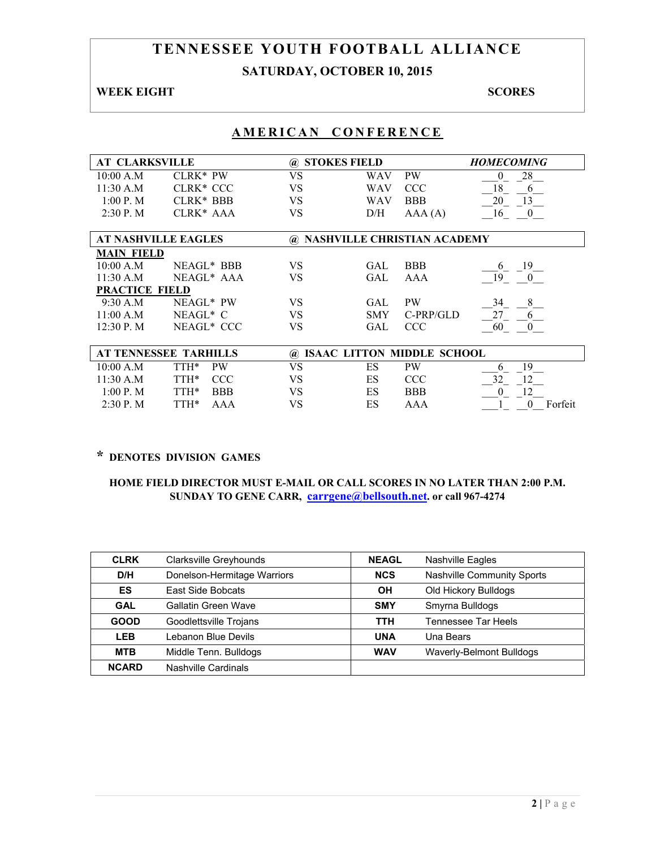# **TENNESSEE YOUTH FOOTBALL ALLIANCE SATURDAY, OCTOBER 10, 2015**

### **WEEK EIGHT SCORES**

# **AMERICAN CONFERENCE**

| <b>AT CLARKSVILLE</b><br><b>STOKES FIELD</b><br><b>HOMECOMING</b><br>(a)<br><b>VS</b><br>28<br>10:00 A.M<br>$CI-RK*PW$<br><b>PW</b><br><b>WAV</b><br>$_{0}$<br>18<br>11:30 A.M<br><b>VS</b><br><b>CCC</b><br>CLRK <sup>*</sup> CCC<br><b>WAV</b><br>6<br>1:00 P. M<br>CLRK <sup>*</sup> BBB<br>VS<br>20<br>13<br><b>BBB</b><br><b>WAV</b><br>CLRK <sup>*</sup> AAA<br>2:30P. M<br>VS<br>D/H<br>AAA(A)<br>16<br>$\mathbf{0}$<br><b>AT NASHVILLE EAGLES</b><br><b>NASHVILLE CHRISTIAN ACADEMY</b><br>(a)<br><b>MAIN FIELD</b><br>VS<br><b>BBB</b><br>19<br>10:00 A.M<br>NEAGL <sup>*</sup> BBB<br>GAL.<br>6<br>11:30 A.M<br>NEAGL* AAA<br>VS<br>19<br>GAL.<br>AAA<br>$\overline{0}$ |         |
|-----------------------------------------------------------------------------------------------------------------------------------------------------------------------------------------------------------------------------------------------------------------------------------------------------------------------------------------------------------------------------------------------------------------------------------------------------------------------------------------------------------------------------------------------------------------------------------------------------------------------------------------------------------------------------------|---------|
|                                                                                                                                                                                                                                                                                                                                                                                                                                                                                                                                                                                                                                                                                   |         |
|                                                                                                                                                                                                                                                                                                                                                                                                                                                                                                                                                                                                                                                                                   |         |
|                                                                                                                                                                                                                                                                                                                                                                                                                                                                                                                                                                                                                                                                                   |         |
|                                                                                                                                                                                                                                                                                                                                                                                                                                                                                                                                                                                                                                                                                   |         |
|                                                                                                                                                                                                                                                                                                                                                                                                                                                                                                                                                                                                                                                                                   |         |
|                                                                                                                                                                                                                                                                                                                                                                                                                                                                                                                                                                                                                                                                                   |         |
|                                                                                                                                                                                                                                                                                                                                                                                                                                                                                                                                                                                                                                                                                   |         |
|                                                                                                                                                                                                                                                                                                                                                                                                                                                                                                                                                                                                                                                                                   |         |
|                                                                                                                                                                                                                                                                                                                                                                                                                                                                                                                                                                                                                                                                                   |         |
|                                                                                                                                                                                                                                                                                                                                                                                                                                                                                                                                                                                                                                                                                   |         |
| <b>PRACTICE FIELD</b>                                                                                                                                                                                                                                                                                                                                                                                                                                                                                                                                                                                                                                                             |         |
| VS<br>8<br>9:30 A.M<br>NEAGL* PW<br><b>PW</b><br>34<br>GAL.                                                                                                                                                                                                                                                                                                                                                                                                                                                                                                                                                                                                                       |         |
| NEAGL* C<br>VS<br>C-PRP/GLD<br>27<br>11:00 A.M<br><b>SMY</b><br>6                                                                                                                                                                                                                                                                                                                                                                                                                                                                                                                                                                                                                 |         |
| NEAGL* CCC<br>VS<br>$12:30$ P. M<br>GAL<br><b>CCC</b><br>60<br>$\theta$                                                                                                                                                                                                                                                                                                                                                                                                                                                                                                                                                                                                           |         |
|                                                                                                                                                                                                                                                                                                                                                                                                                                                                                                                                                                                                                                                                                   |         |
| <b>AT TENNESSEE TARHILLS</b><br><b>ISAAC LITTON MIDDLE SCHOOL</b><br>(a)                                                                                                                                                                                                                                                                                                                                                                                                                                                                                                                                                                                                          |         |
| TTH*<br>VS<br>ES<br><b>PW</b><br>19<br>10:00 A.M<br><b>PW</b><br>6                                                                                                                                                                                                                                                                                                                                                                                                                                                                                                                                                                                                                |         |
| 32<br><b>VS</b><br>ES<br>11:30 A.M<br>TTH*<br><b>CCC</b><br><b>CCC</b><br>12                                                                                                                                                                                                                                                                                                                                                                                                                                                                                                                                                                                                      |         |
| 1:00 P. M<br>TTH*<br><b>BBB</b><br>VS<br>ES<br><b>BBB</b><br>$\mathbf{0}$<br>12                                                                                                                                                                                                                                                                                                                                                                                                                                                                                                                                                                                                   |         |
| VS<br>ES<br>2:30P. M<br>TTH*<br>AAA<br>AAA<br>$\theta$                                                                                                                                                                                                                                                                                                                                                                                                                                                                                                                                                                                                                            | Forfeit |

## **\* DENOTES DIVISION GAMES**

| <b>CLRK</b>  | Clarksville Greyhounds      | <b>NEAGL</b> | Nashville Eagles           |
|--------------|-----------------------------|--------------|----------------------------|
| D/H          | Donelson-Hermitage Warriors | <b>NCS</b>   | Nashville Community Sports |
| ES           | East Side Bobcats           | <b>OH</b>    | Old Hickory Bulldogs       |
| <b>GAL</b>   | Gallatin Green Wave         | <b>SMY</b>   | Smyrna Bulldogs            |
| <b>GOOD</b>  | Goodlettsville Trojans      | <b>TTH</b>   | Tennessee Tar Heels        |
| <b>LEB</b>   | Lebanon Blue Devils         | <b>UNA</b>   | Una Bears                  |
| <b>MTB</b>   | Middle Tenn. Bulldogs       | <b>WAV</b>   | Waverly-Belmont Bulldogs   |
| <b>NCARD</b> | Nashville Cardinals         |              |                            |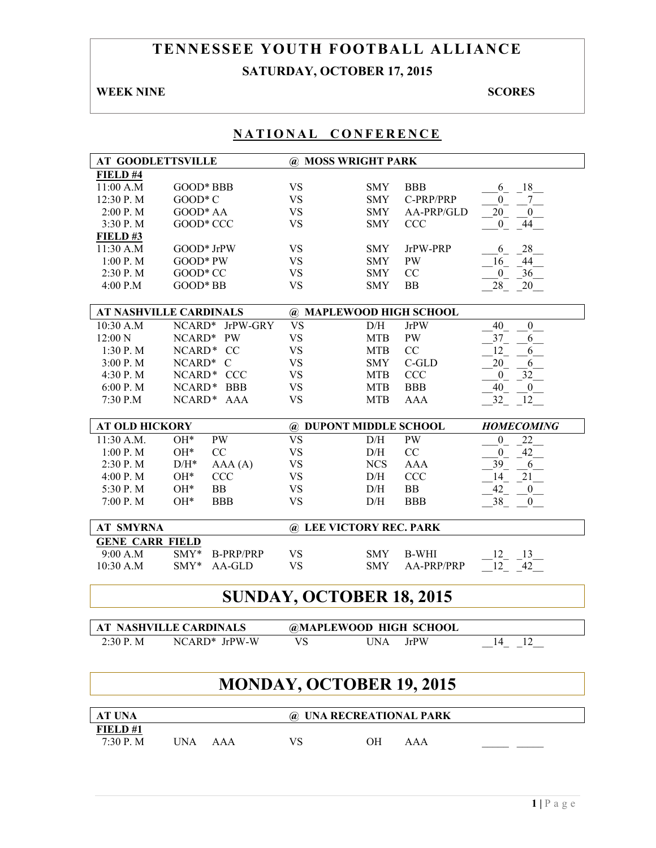# **TENNESSEE YOUTH FOOTBALL ALLIANCE SATURDAY, OCTOBER 17, 2015**

## **WEEK NINE SCORES**

| NATIONAL CONFERENCE      |                                           |                                 |            |                         |                                        |
|--------------------------|-------------------------------------------|---------------------------------|------------|-------------------------|----------------------------------------|
| <b>AT GOODLETTSVILLE</b> |                                           | @ MOSS WRIGHT PARK              |            |                         |                                        |
| FIELD #4                 |                                           |                                 |            |                         |                                        |
| 11:00 A.M                | GOOD* BBB                                 | <b>VS</b>                       | <b>SMY</b> | <b>BBB</b>              | 18<br>6                                |
| 12:30 P.M                | $GOOD*C$                                  | <b>VS</b>                       | <b>SMY</b> | C-PRP/PRP               | 7<br>$\mathbf{0}$                      |
| 2:00 P.M                 | GOOD* AA                                  | <b>VS</b>                       | <b>SMY</b> | AA-PRP/GLD              | 20<br>$\mathbf{0}$                     |
| 3:30 P.M                 | GOOD* CCC                                 | <b>VS</b>                       | <b>SMY</b> | <b>CCC</b>              | 44<br>$\overline{0}$                   |
| $FIED$ #3                |                                           |                                 |            |                         |                                        |
| 11:30 A.M                | GOOD* JrPW                                | <b>VS</b>                       | <b>SMY</b> | JrPW-PRP                | 28<br>6                                |
| $1:00$ P. M              | $GOOD*PW$                                 | <b>VS</b>                       | <b>SMY</b> | PW                      | 44<br>16                               |
| 2:30 P.M                 | GOOD* CC                                  | <b>VS</b>                       | <b>SMY</b> | CC                      | 36<br>$\mathbf{0}$                     |
| 4:00 P.M                 | GOOD* BB                                  | <b>VS</b>                       | <b>SMY</b> | <b>BB</b>               | 28<br>20                               |
|                          |                                           |                                 |            |                         |                                        |
|                          | <b>AT NASHVILLE CARDINALS</b>             | @ MAPLEWOOD HIGH SCHOOL         |            |                         |                                        |
| 10:30 A.M                | NCARD*<br>JrPW-GRY                        | <b>VS</b>                       | D/H        | <b>JrPW</b>             | 40<br>$\boldsymbol{0}$                 |
| 12:00 N                  | NCARD*<br><b>PW</b>                       | <b>VS</b>                       | <b>MTB</b> | PW                      | 37<br>6                                |
| 1:30 P.M                 | NCARD*<br><b>CC</b>                       | <b>VS</b>                       | <b>MTB</b> | CC                      | 12<br>6                                |
| 3:00 P.M                 | NCARD* C                                  | <b>VS</b>                       | <b>SMY</b> | C-GLD                   | 20<br>6                                |
| 4:30 P.M                 | NCARD* CCC                                | <b>VS</b>                       | <b>MTB</b> | <b>CCC</b>              | 32<br>$\boldsymbol{0}$                 |
| 6:00 P.M                 | NCARD*<br><b>BBB</b>                      | <b>VS</b>                       | <b>MTB</b> | <b>BBB</b>              | 40<br>$\mathbf{0}$                     |
| 7:30 P.M                 | NCARD* AAA                                | <b>VS</b>                       | <b>MTB</b> | <b>AAA</b>              | 12<br>32                               |
|                          |                                           |                                 |            |                         |                                        |
| <b>AT OLD HICKORY</b>    |                                           | @ DUPONT MIDDLE SCHOOL          |            |                         | <b>HOMECOMING</b>                      |
|                          |                                           |                                 |            |                         |                                        |
| 11:30 A.M.               | $OH*$<br>PW                               | <b>VS</b>                       | D/H        | <b>PW</b>               | 22<br>$\mathbf{0}$                     |
| 1:00 P. M                | $OH*$<br>CC                               | <b>VS</b>                       | D/H        | $\rm CC$                | 42<br>$\overline{0}$                   |
|                          | $D/H^*$                                   |                                 |            |                         |                                        |
| 2:30 P.M                 | AAA(A)                                    | <b>VS</b>                       | <b>NCS</b> | <b>AAA</b>              | 39<br>6                                |
| 4:00 P.M                 | $OH*$<br><b>CCC</b>                       | <b>VS</b>                       | D/H        | <b>CCC</b>              | 14<br>21                               |
| 5:30 P.M<br>7:00 P.M     | $OH*$<br><b>BB</b><br>$OH*$<br><b>BBB</b> | <b>VS</b><br><b>VS</b>          | D/H<br>D/H | <b>BB</b><br><b>BBB</b> | 42<br>$\boldsymbol{0}$<br>$\mathbf{0}$ |
|                          |                                           |                                 |            |                         | 38                                     |
| <b>AT SMYRNA</b>         |                                           | @ LEE VICTORY REC. PARK         |            |                         |                                        |
| <b>GENE CARR FIELD</b>   |                                           |                                 |            |                         |                                        |
| 9:00 A.M                 | $SMY*$<br><b>B-PRP/PRP</b>                | VS                              | <b>SMY</b> | <b>B-WHI</b>            | 12<br>13                               |
| 10:30 A.M                | SMY*<br>AA-GLD                            | <b>VS</b>                       | <b>SMY</b> | AA-PRP/PRP              | 12<br>42                               |
|                          |                                           | SUNDAY, OCTOBER 18, 2015        |            |                         |                                        |
|                          |                                           |                                 |            |                         |                                        |
|                          | <b>AT NASHVILLE CARDINALS</b>             | @MAPLEWOOD HIGH SCHOOL          |            |                         |                                        |
| 2:30 P.M                 | NCARD* JrPW-W                             | <b>VS</b>                       | <b>UNA</b> | <b>JrPW</b>             | 14 12                                  |
|                          |                                           |                                 |            |                         |                                        |
|                          |                                           | <b>MONDAY, OCTOBER 19, 2015</b> |            |                         |                                        |
| AT UNA                   |                                           | @ UNA RECREATIONAL PARK         |            |                         |                                        |
| FIELD#1                  |                                           |                                 |            |                         |                                        |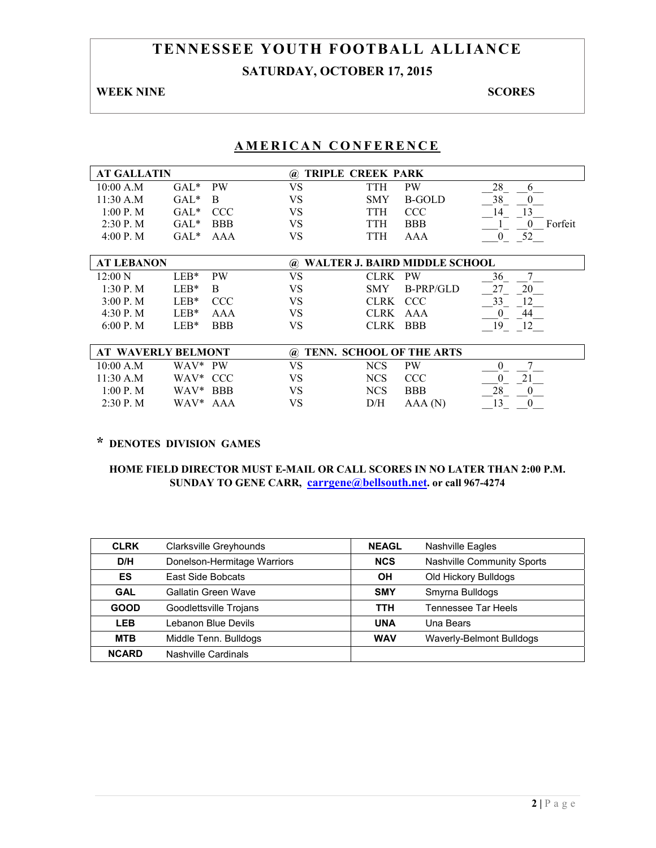# **TENNESSEE YOUTH FOOTBALL ALLIANCE SATURDAY, OCTOBER 17, 2015**

## **WEEK NINE SCORES**

## **AMERICAN CONFERENCE**

| <b>AT GALLATIN</b>        |                  |            | (a)                                     | TRIPLE CREEK PARK        |                               |                     |
|---------------------------|------------------|------------|-----------------------------------------|--------------------------|-------------------------------|---------------------|
| 10:00 A.M                 | $GAL^*$          | <b>PW</b>  | VS                                      | TTH                      | <b>PW</b>                     | 28<br>6             |
| 11:30 A.M                 | $GAL*$           | B          | VS                                      | <b>SMY</b>               | <b>B-GOLD</b>                 | 38<br>$\theta$      |
| 1:00 P. M                 | $GAL*$           | <b>CCC</b> | VS                                      | TTH                      | <b>CCC</b>                    | 13<br>14            |
| $2:30$ P. M               | $GAL*$           | <b>BBB</b> | VS                                      | TTH                      | <b>BBB</b>                    | Forfeit<br>$\theta$ |
| 4:00 P. M                 | $GAL^*$          | AAA        | VS                                      | TTH                      | AAA                           | 52<br>$\theta$      |
|                           |                  |            |                                         |                          |                               |                     |
| <b>AT LEBANON</b>         |                  |            | $\left(\boldsymbol{a}\right)$           |                          | WALTER J. BAIRD MIDDLE SCHOOL |                     |
| $12:00\text{ N}$          | $LEB*$           | <b>PW</b>  | VS                                      | <b>CLRK</b>              | <b>PW</b>                     | 36<br>7             |
| 1:30 P. M                 | $LEB*$           | B          | VS                                      | <b>SMY</b>               | B-PRP/GLD                     | 27<br>20            |
| 3:00 P. M                 | $LEB*$           | <b>CCC</b> | VS                                      | <b>CLRK</b>              | <b>CCC</b>                    | 33<br>12            |
| 4:30 P. M                 | $LEB*$           | AAA        | VS                                      | <b>CLRK</b>              | AAA                           | 44<br>0             |
| 6:00 P. M                 | $LEB*$           | <b>BBB</b> | VS                                      | <b>CLRK</b>              | <b>BBB</b>                    | 19<br>12            |
|                           |                  |            |                                         |                          |                               |                     |
| <b>AT WAVERLY BELMONT</b> |                  |            | $\left(\widehat{\boldsymbol{a}}\right)$ | TENN. SCHOOL OF THE ARTS |                               |                     |
| 10:00 A.M                 | WAV*             | PW         | VS                                      | <b>NCS</b>               | <b>PW</b>                     | 7<br>$\theta$       |
| 11:30 A.M                 | WAV* CCC         |            | VS                                      | <b>NCS</b>               | <b>CCC</b>                    | 21<br>0             |
| 1:00 P. M                 | WAV <sup>*</sup> | <b>BBB</b> | VS                                      | <b>NCS</b>               | <b>BBB</b>                    | 28<br>$\theta$      |
| $2:30$ P. M               | WAV*             | AAA        | VS                                      | D/H                      | AAA(N)                        | 13<br>$\Omega$      |

## **\* DENOTES DIVISION GAMES**

| <b>CLRK</b>  | Clarksville Greyhounds      | <b>NEAGL</b> | <b>Nashville Eagles</b>    |
|--------------|-----------------------------|--------------|----------------------------|
| D/H          | Donelson-Hermitage Warriors | <b>NCS</b>   | Nashville Community Sports |
| ES           | East Side Bobcats           | OН           | Old Hickory Bulldogs       |
| <b>GAL</b>   | Gallatin Green Wave         | <b>SMY</b>   | Smyrna Bulldogs            |
| <b>GOOD</b>  | Goodlettsville Trojans      | <b>TTH</b>   | <b>Tennessee Tar Heels</b> |
| <b>LEB</b>   | Lebanon Blue Devils         | <b>UNA</b>   | Una Bears                  |
| <b>MTB</b>   | Middle Tenn. Bulldogs       | <b>WAV</b>   | Waverly-Belmont Bulldogs   |
| <b>NCARD</b> | Nashville Cardinals         |              |                            |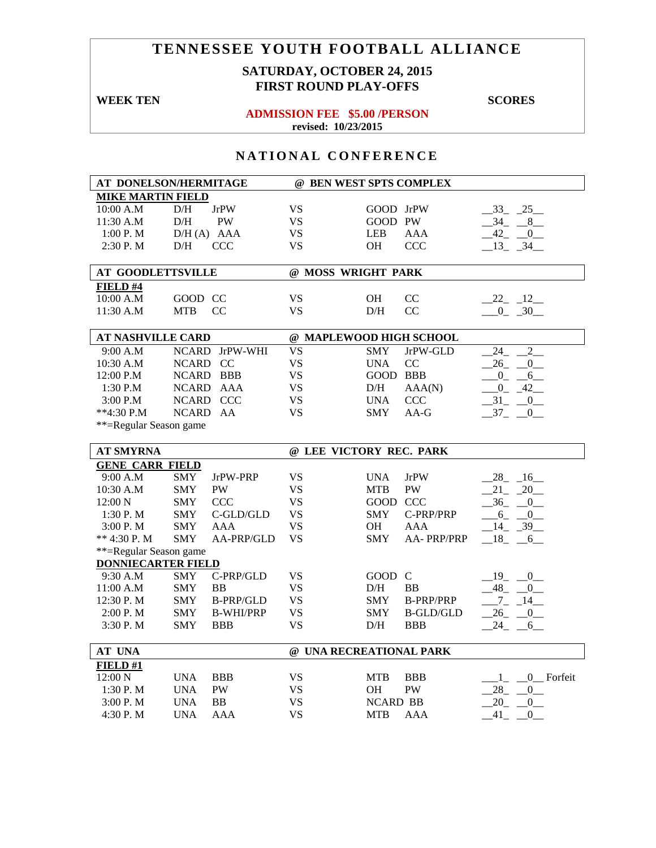# **SATURDAY, OCTOBER 24, 2015 FIRST ROUND PLAY-OFFS**

#### **WEEK TEN** SCORES

#### **ADMISSION FEE \$5.00 /PERSON revised: 10/23/2015**

| AT DONELSON/HERMITAGE     |              |                  |           | @ BEN WEST SPTS COMPLEX |                        |                            |
|---------------------------|--------------|------------------|-----------|-------------------------|------------------------|----------------------------|
| <b>MIKE MARTIN FIELD</b>  |              |                  |           |                         |                        |                            |
| 10:00 A.M                 | $\rm{D/H}$   | <b>JrPW</b>      | <b>VS</b> | GOOD JrPW               |                        | $-33$ $-25$                |
| 11:30 A.M                 | $\rm{D/H}$   | PW               | <b>VS</b> | GOOD PW                 |                        | $-34 - 8$                  |
| 1:00 P.M                  |              | $D/H(A)$ AAA     | <b>VS</b> | <b>LEB</b>              | <b>AAA</b>             | $-42$ $-0$                 |
| 2:30 P.M                  | D/H          | <b>CCC</b>       | <b>VS</b> | OН                      | <b>CCC</b>             | $-13 - 34$                 |
|                           |              |                  |           |                         |                        |                            |
| <b>AT GOODLETTSVILLE</b>  |              |                  |           | @ MOSS WRIGHT PARK      |                        |                            |
| FIELD #4                  |              |                  |           |                         |                        |                            |
| 10:00 A.M                 | GOOD CC      |                  | <b>VS</b> | OH                      | CC                     | $22 - 12$                  |
| 11:30 A.M                 | <b>MTB</b>   | CC               | <b>VS</b> | $\rm{D/H}$              | CC                     | $-0$ $-30$                 |
|                           |              |                  |           |                         |                        |                            |
| <b>AT NASHVILLE CARD</b>  |              |                  |           | @ MAPLEWOOD HIGH SCHOOL |                        |                            |
| 9:00 A.M                  |              | NCARD JrPW-WHI   | <b>VS</b> | <b>SMY</b>              | JrPW-GLD               | 24<br>$\overline{2}$       |
| 10:30 A.M                 | NCARD CC     |                  | <b>VS</b> | <b>UNA</b>              | CC                     | 26<br>$\overline{0}$       |
| 12:00 P.M                 |              | NCARD BBB        | <b>VS</b> | GOOD BBB                |                        | $-0$ $-6$                  |
| 1:30 P.M                  |              | NCARD AAA        | <b>VS</b> | D/H                     | AAA(N)                 | $-0$ $-42$ $-$             |
| 3:00 P.M                  |              | NCARD CCC        | <b>VS</b> | <b>UNA</b>              | <b>CCC</b>             | $31 - 0$                   |
| **4:30 P.M                | <b>NCARD</b> | AA               | <b>VS</b> | <b>SMY</b>              | $AA-G$                 | $-37 - 0$                  |
| **=Regular Season game    |              |                  |           |                         |                        |                            |
|                           |              |                  |           |                         |                        |                            |
| <b>AT SMYRNA</b>          |              |                  |           | @ LEE VICTORY REC. PARK |                        |                            |
| <b>GENE CARR FIELD</b>    |              |                  |           |                         |                        |                            |
| 9:00 A.M                  | <b>SMY</b>   | JrPW-PRP         | <b>VS</b> | <b>UNA</b>              | <b>JrPW</b>            | $-28$ <sub>-16</sub>       |
| 10:30 A.M                 | <b>SMY</b>   | PW               | <b>VS</b> | <b>MTB</b>              | $\mathbf{P}\mathbf{W}$ | $21 - 20$                  |
| 12:00 N                   | <b>SMY</b>   | <b>CCC</b>       | <b>VS</b> | GOOD CCC                |                        | $-36 - 0$                  |
| 1:30 P.M                  | <b>SMY</b>   | $C$ -GLD/GLD     | <b>VS</b> | SMY                     | C-PRP/PRP              | $-6 - 0$                   |
| 3:00 P.M                  | <b>SMY</b>   | AAA              | <b>VS</b> | <b>OH</b>               | AAA                    | $-14$ $-39$                |
| ** 4:30 P.M               | <b>SMY</b>   | AA-PRP/GLD       | <b>VS</b> | <b>SMY</b>              | AA-PRP/PRP             | $-18$ $-6$                 |
| **=Regular Season game    |              |                  |           |                         |                        |                            |
| <b>DONNIECARTER FIELD</b> |              |                  |           |                         |                        |                            |
| 9:30 A.M                  | <b>SMY</b>   | C-PRP/GLD        | <b>VS</b> | GOOD C                  |                        | $-19$ $-0$                 |
| 11:00 A.M                 | <b>SMY</b>   | <b>BB</b>        | <b>VS</b> | D/H                     | BB                     | $-48$ $-0$                 |
| 12:30 P.M                 | <b>SMY</b>   | <b>B-PRP/GLD</b> | <b>VS</b> | <b>SMY</b>              | <b>B-PRP/PRP</b>       | $-7 - 14$                  |
| 2:00 P.M                  | <b>SMY</b>   | <b>B-WHI/PRP</b> | <b>VS</b> | <b>SMY</b>              | <b>B-GLD/GLD</b>       | $-26$ $-0$ $-$             |
| 3:30 P.M                  | <b>SMY</b>   | <b>BBB</b>       | <b>VS</b> | D/H                     | <b>BBB</b>             | $24 - 6$                   |
|                           |              |                  |           |                         |                        |                            |
| AT UNA                    |              |                  |           | @ UNA RECREATIONAL PARK |                        |                            |
| FIELD#1                   |              |                  |           |                         |                        |                            |
| 12:00 N                   | <b>UNA</b>   | <b>BBB</b>       | <b>VS</b> | MTB                     | <b>BBB</b>             | $\_\_0$ Forfeit<br>$1_{-}$ |
| 1:30 P.M                  | <b>UNA</b>   | <b>PW</b>        | <b>VS</b> | OH                      | PW                     | $28 -$<br>$\overline{0}$   |
| 3:00 P.M                  | <b>UNA</b>   | <b>BB</b>        | <b>VS</b> | <b>NCARD BB</b>         |                        | $20 -$<br>0                |
| 4:30 P. M                 | <b>UNA</b>   | <b>AAA</b>       | <b>VS</b> | <b>MTB</b>              | AAA                    | 41<br>$\overline{0}$       |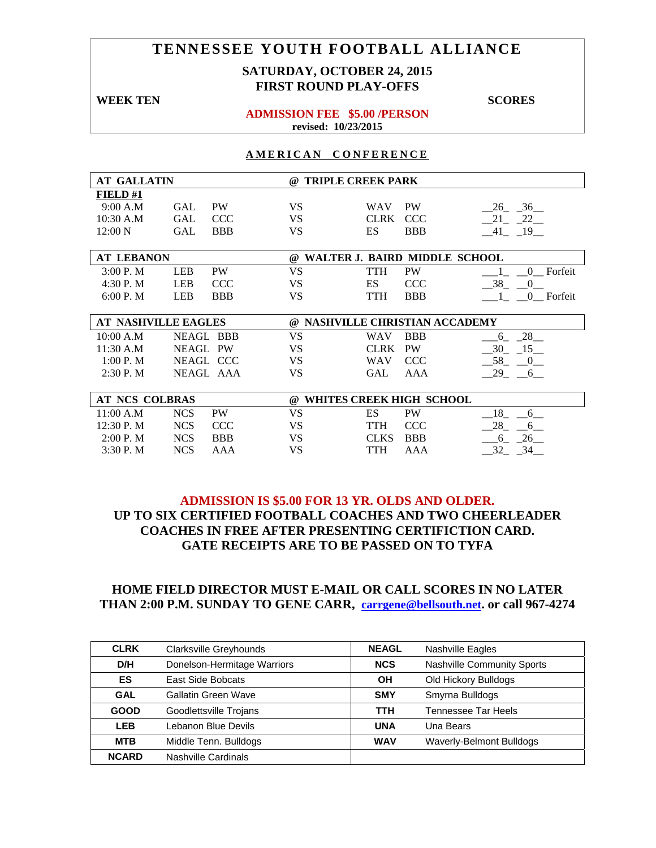## **SATURDAY, OCTOBER 24, 2015 FIRST ROUND PLAY-OFFS**

## **WEEK TEN** SCORES **ADMISSION FEE \$5.00 /PERSON**

# **revised: 10/23/2015**

#### **AMERICAN CONFERENCE**

| <b>AT GALLATIN</b> |                            | $\omega$  | <b>TRIPLE CREEK PARK</b>        |                                         |
|--------------------|----------------------------|-----------|---------------------------------|-----------------------------------------|
| FIELD#1            |                            |           |                                 |                                         |
| 9:00 A.M           | <b>PW</b><br>GAL           | <b>VS</b> | <b>PW</b><br><b>WAV</b>         | $-26$ $-36$                             |
| 10:30 A.M          | <b>GAL</b><br><b>CCC</b>   | <b>VS</b> | <b>CLRK</b><br><b>CCC</b>       | $21 - 22$                               |
| 12:00 N            | <b>GAL</b><br><b>BBB</b>   | VS        | ES<br><b>BBB</b>                | $-41$ $-19$                             |
|                    |                            |           |                                 |                                         |
| <b>AT LEBANON</b>  |                            | $\omega$  | WALTER J. BAIRD MIDDLE SCHOOL   |                                         |
| 3:00 P. M          | <b>PW</b><br><b>LEB</b>    | <b>VS</b> | <b>TTH</b><br><b>PW</b>         | 0 Forfeit                               |
| 4:30 P.M           | <b>LEB</b><br><b>CCC</b>   | <b>VS</b> | <b>ES</b><br><b>CCC</b>         | 38 0                                    |
| 6:00 P. M          | <b>LEB</b><br><b>BBB</b>   | <b>VS</b> | <b>TTH</b><br><b>BBB</b>        | 1 0 Forfeit                             |
|                    |                            |           |                                 |                                         |
|                    | <b>AT NASHVILLE EAGLES</b> |           | @ NASHVILLE CHRISTIAN ACCADEMY  |                                         |
| 10:00 A.M          | <b>NEAGL BBB</b>           | <b>VS</b> | <b>BBB</b><br>WAV               | 28<br>6                                 |
| 11:30 A.M          | <b>NEAGL PW</b>            | <b>VS</b> | <b>CLRK</b><br><b>PW</b>        | $-30$<br>$-15$                          |
| 1:00 P. M          | NEAGL CCC                  | VS.       | <b>WAV</b><br><b>CCC</b>        | 58<br>$\begin{array}{cc} 0 \end{array}$ |
| $2:30$ P. M        | NEAGL AAA                  | <b>VS</b> | <b>GAL</b><br><b>AAA</b>        | $-29$ $-6$                              |
|                    |                            |           |                                 |                                         |
| AT NCS COLBRAS     |                            | $\omega$  | <b>WHITES CREEK HIGH SCHOOL</b> |                                         |
| 11:00 A.M          | <b>NCS</b><br><b>PW</b>    | <b>VS</b> | ES<br><b>PW</b>                 | 18 6                                    |
| 12:30 P.M          | <b>NCS</b><br><b>CCC</b>   | <b>VS</b> | TTH<br><b>CCC</b>               | 28<br>6 <sup>6</sup>                    |
| 2:00 P. M          | <b>NCS</b><br><b>BBB</b>   | VS.       | <b>BBB</b><br><b>CLKS</b>       | 26<br>6                                 |
| 3:30 P.M           | <b>NCS</b><br>AAA          | <b>VS</b> | <b>TTH</b><br>AAA               | $-32 - 34$                              |

## **ADMISSION IS \$5.00 FOR 13 YR. OLDS AND OLDER. UP TO SIX CERTIFIED FOOTBALL COACHES AND TWO CHEERLEADER COACHES IN FREE AFTER PRESENTING CERTIFICTION CARD. GATE RECEIPTS ARE TO BE PASSED ON TO TYFA**

| <b>CLRK</b>  | Clarksville Greyhounds      | <b>NEAGL</b> | <b>Nashville Eagles</b>           |
|--------------|-----------------------------|--------------|-----------------------------------|
| D/H          | Donelson-Hermitage Warriors | <b>NCS</b>   | <b>Nashville Community Sports</b> |
| ES           | East Side Bobcats           | OН           | Old Hickory Bulldogs              |
| <b>GAL</b>   | Gallatin Green Wave         | <b>SMY</b>   | Smyrna Bulldogs                   |
| <b>GOOD</b>  | Goodlettsville Trojans      | <b>TTH</b>   | Tennessee Tar Heels               |
| <b>LEB</b>   | Lebanon Blue Devils         | <b>UNA</b>   | Una Bears                         |
| <b>MTB</b>   | Middle Tenn. Bulldogs       | <b>WAV</b>   | Waverly-Belmont Bulldogs          |
| <b>NCARD</b> | Nashville Cardinals         |              |                                   |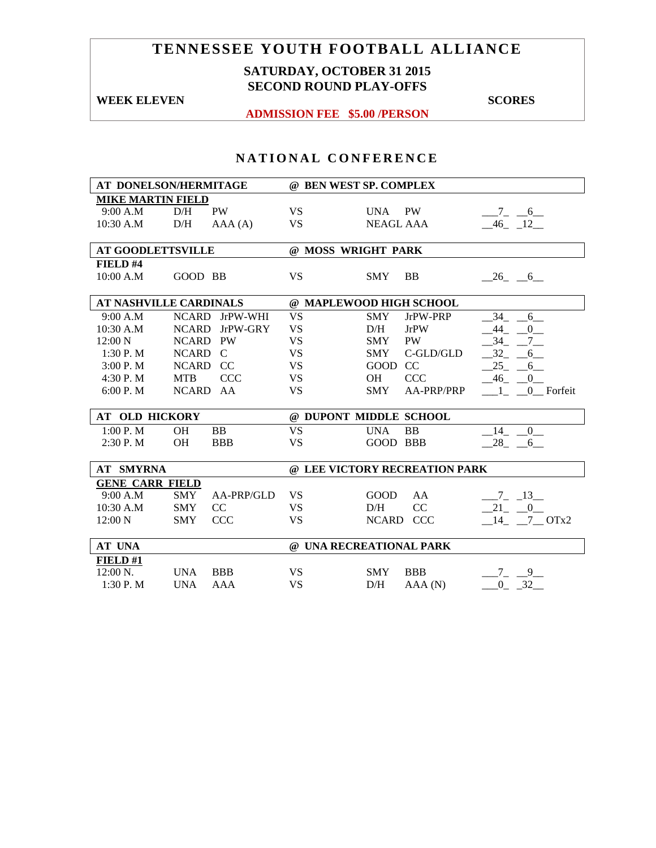## **SATURDAY, OCTOBER 31 2015 SECOND ROUND PLAY-OFFS**

**WEEK ELEVEN** SCORES

**ADMISSION FEE \$5.00 /PERSON** 

| AT DONELSON/HERMITAGE         |                          |           | @ BEN WEST SP. COMPLEX        |                |  |  |
|-------------------------------|--------------------------|-----------|-------------------------------|----------------|--|--|
| <b>MIKE MARTIN FIELD</b>      |                          |           |                               |                |  |  |
| 9:00 A.M                      | <b>PW</b><br>D/H         | <b>VS</b> | UNA PW                        | $-7 - 6$       |  |  |
| 10:30 A.M                     | D/H<br>AAA(A)            | <b>VS</b> | <b>NEAGL AAA</b>              | $-46$ $-12$    |  |  |
|                               |                          |           |                               |                |  |  |
| <b>AT GOODLETTSVILLE</b>      |                          |           | @ MOSS WRIGHT PARK            |                |  |  |
| FIELD #4                      |                          |           |                               |                |  |  |
| 10:00 A.M                     | GOOD BB                  | <b>VS</b> | <b>SMY</b><br><b>BB</b>       | $-26$ $-6$     |  |  |
|                               |                          |           |                               |                |  |  |
| <b>AT NASHVILLE CARDINALS</b> |                          |           | @ MAPLEWOOD HIGH SCHOOL       |                |  |  |
| 9:00 A.M                      | JrPW-WHI<br><b>NCARD</b> | <b>VS</b> | <b>SMY</b><br>JrPW-PRP        | 34<br>6        |  |  |
| $10:30$ A.M                   | JrPW-GRY<br><b>NCARD</b> | <b>VS</b> | D/H<br><b>JrPW</b>            | 44 0           |  |  |
| $12:00\text{ N}$              | NCARD PW                 | <b>VS</b> | PW<br><b>SMY</b>              | 34 7           |  |  |
| 1:30 P.M                      | NCARD C                  | <b>VS</b> | C-GLD/GLD<br><b>SMY</b>       | $-32$ $-$<br>6 |  |  |
| 3:00 P. M                     | NCARD CC                 | <b>VS</b> | GOOD CC                       | $25 - 6$       |  |  |
| 4:30P. M                      | CCC<br><b>MTB</b>        | <b>VS</b> | CCC<br><b>OH</b>              | 46 0           |  |  |
| 6:00 P. M                     | NCARD AA                 | <b>VS</b> | AA-PRP/PRP<br><b>SMY</b>      | 1 0 Forfeit    |  |  |
|                               |                          |           |                               |                |  |  |
| <b>AT OLD HICKORY</b>         |                          |           | @ DUPONT MIDDLE SCHOOL        |                |  |  |
| 1:00 P.M                      | <b>OH</b><br><b>BB</b>   | <b>VS</b> | <b>UNA</b><br><b>BB</b>       | 14 0           |  |  |
| 2:30P. M                      | OH<br><b>BBB</b>         | <b>VS</b> | GOOD BBB                      | 28 6           |  |  |
|                               |                          |           |                               |                |  |  |
| <b>AT SMYRNA</b>              |                          |           | @ LEE VICTORY RECREATION PARK |                |  |  |
| <b>GENE CARR FIELD</b>        |                          |           |                               |                |  |  |
| 9:00 A.M                      | AA-PRP/GLD<br>SMY        | <b>VS</b> | GOOD<br>AA                    | $-7 - 13$      |  |  |
| 10:30 A.M                     | CC<br><b>SMY</b>         | <b>VS</b> | D/H<br>CC                     | $-21$ $-0$     |  |  |
| 12:00 N                       | <b>CCC</b><br><b>SMY</b> | <b>VS</b> | NCARD CCC                     | 14 7 OTx2      |  |  |
|                               |                          |           |                               |                |  |  |
| <b>AT UNA</b>                 |                          |           | @ UNA RECREATIONAL PARK       |                |  |  |
| FIELD #1                      |                          |           |                               |                |  |  |
| $12:00 \text{ N.}$            | <b>UNA</b><br><b>BBB</b> | <b>VS</b> | <b>SMY</b><br><b>BBB</b>      | 79             |  |  |
| 1:30P. M                      | <b>AAA</b><br><b>UNA</b> | <b>VS</b> | D/H<br>AAA(N)                 | $-0$ $-32$     |  |  |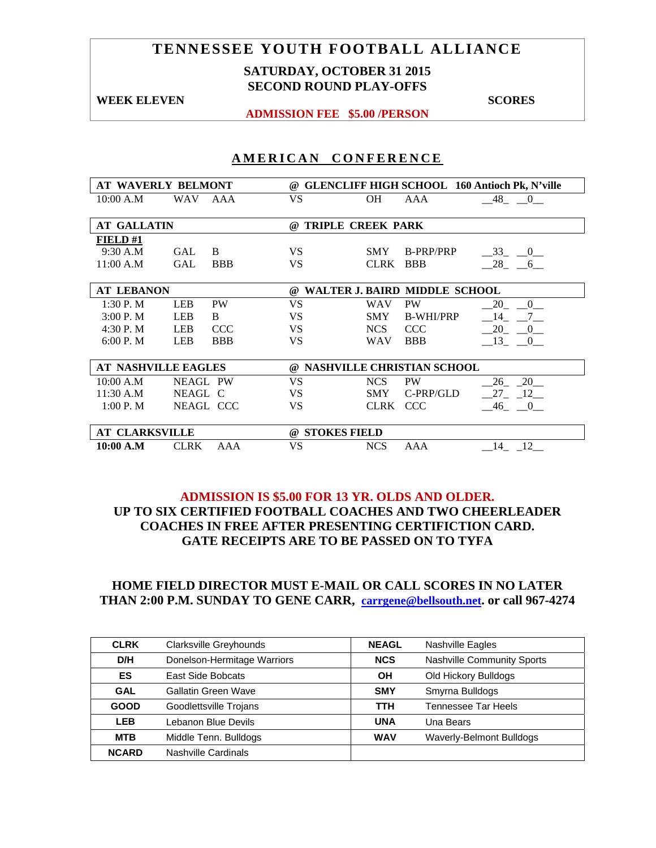## **SATURDAY, OCTOBER 31 2015 SECOND ROUND PLAY-OFFS**

**WEEK ELEVEN** SCORES

**ADMISSION FEE \$5.00 /PERSON** 

## **AMERICAN CONFERENCE**

| <b>AT WAVERLY BELMONT</b>  |                          | $^{\omega}$                                   | <b>GLENCLIFF HIGH SCHOOL 160 Antioch Pk, N'ville</b>    |  |  |
|----------------------------|--------------------------|-----------------------------------------------|---------------------------------------------------------|--|--|
| 10:00 A.M                  | <b>WAV</b><br>AAA        | VS                                            | <b>OH</b><br>AAA<br>48 0                                |  |  |
|                            |                          |                                               |                                                         |  |  |
| <b>AT GALLATIN</b>         |                          | $\omega$                                      | <b>TRIPLE CREEK PARK</b>                                |  |  |
| <b>FIELD#1</b>             |                          |                                               |                                                         |  |  |
| 9:30 A.M                   | <b>GAL</b><br>B          | <b>VS</b>                                     | <b>B-PRP/PRP</b><br><b>SMY</b><br>$-33$ $-0$            |  |  |
| 11:00 A.M                  | <b>GAL</b><br><b>BBB</b> | VS                                            | $-28$ <sub>-</sub> $-6$<br><b>CLRK</b><br><b>BBB</b>    |  |  |
|                            |                          |                                               |                                                         |  |  |
| <b>AT LEBANON</b>          |                          | $\omega$                                      | WALTER J. BAIRD MIDDLE SCHOOL                           |  |  |
| 1:30P. M                   | <b>LEB</b><br><b>PW</b>  | VS.                                           | <b>PW</b><br>WAV<br>20<br>$\Omega$                      |  |  |
| 3:00P. M                   | <b>LEB</b><br>B          | VS                                            | 14<br><b>B-WHI/PRP</b><br>$7\overline{ }$<br><b>SMY</b> |  |  |
| 4:30 P.M                   | <b>LEB</b><br><b>CCC</b> | VS.                                           | 20<br><b>NCS</b><br><b>CCC</b><br>$-0$                  |  |  |
| 6:00 P. M                  | <b>LEB</b><br><b>BBB</b> | VS                                            | $-13$ $-0$<br><b>BBB</b><br><b>WAV</b>                  |  |  |
|                            |                          |                                               |                                                         |  |  |
| <b>AT NASHVILLE EAGLES</b> |                          | <b>NASHVILLE CHRISTIAN SCHOOL</b><br>$\omega$ |                                                         |  |  |
| 10:00 A.M                  | NEAGL PW                 | <b>VS</b>                                     | <b>NCS</b><br>$26 - 20$<br><b>PW</b>                    |  |  |
| 11:30 A.M                  | NEAGL C                  | VS.                                           | $27 - 12$<br>C-PRP/GLD<br>SMY                           |  |  |
| 1:00 P. M                  | NEAGL CCC                | VS                                            | <b>CLRK</b><br><b>CCC</b><br>46 0                       |  |  |
|                            |                          |                                               |                                                         |  |  |
| <b>AT CLARKSVILLE</b>      |                          | $\omega$                                      | <b>STOKES FIELD</b>                                     |  |  |
| $10:00$ A.M                | <b>CLRK</b><br>AAA       | VS                                            | <b>NCS</b><br>12<br>AAA<br>14                           |  |  |

## **ADMISSION IS \$5.00 FOR 13 YR. OLDS AND OLDER. UP TO SIX CERTIFIED FOOTBALL COACHES AND TWO CHEERLEADER COACHES IN FREE AFTER PRESENTING CERTIFICTION CARD. GATE RECEIPTS ARE TO BE PASSED ON TO TYFA**

| <b>CLRK</b>  | <b>Clarksville Greyhounds</b> | <b>NEAGL</b> | <b>Nashville Eagles</b>    |
|--------------|-------------------------------|--------------|----------------------------|
| D/H          | Donelson-Hermitage Warriors   | <b>NCS</b>   | Nashville Community Sports |
| <b>ES</b>    | East Side Bobcats             | OН           | Old Hickory Bulldogs       |
| <b>GAL</b>   | Gallatin Green Wave           | <b>SMY</b>   | Smyrna Bulldogs            |
| <b>GOOD</b>  | Goodlettsville Trojans        | <b>TTH</b>   | Tennessee Tar Heels        |
| <b>LEB</b>   | Lebanon Blue Devils           | <b>UNA</b>   | Una Bears                  |
| <b>MTB</b>   | Middle Tenn. Bulldogs         | <b>WAV</b>   | Waverly-Belmont Bulldogs   |
| <b>NCARD</b> | Nashville Cardinals           |              |                            |